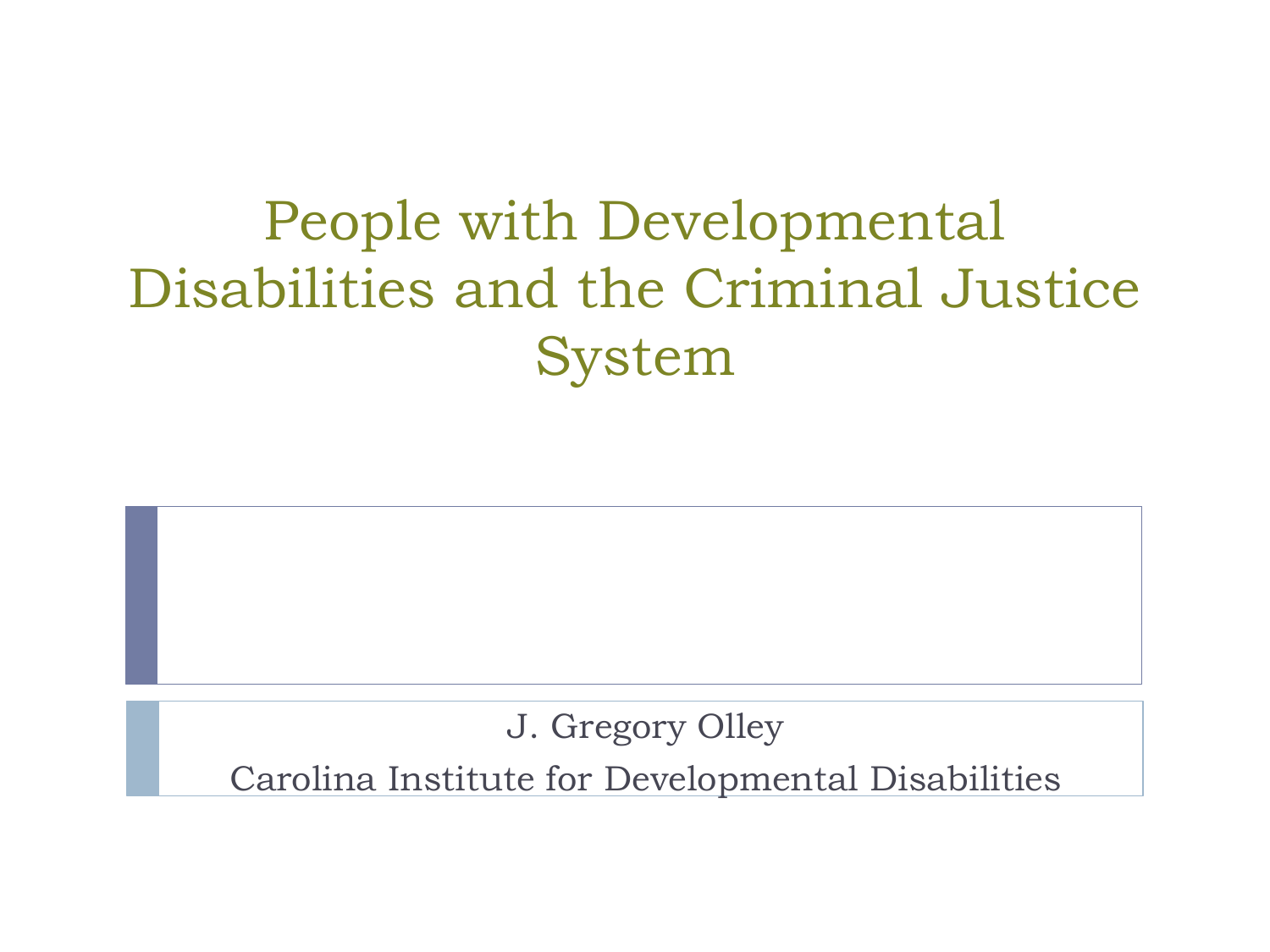## People with Developmental Disabilities and the Criminal Justice System

J. Gregory Olley

Carolina Institute for Developmental Disabilities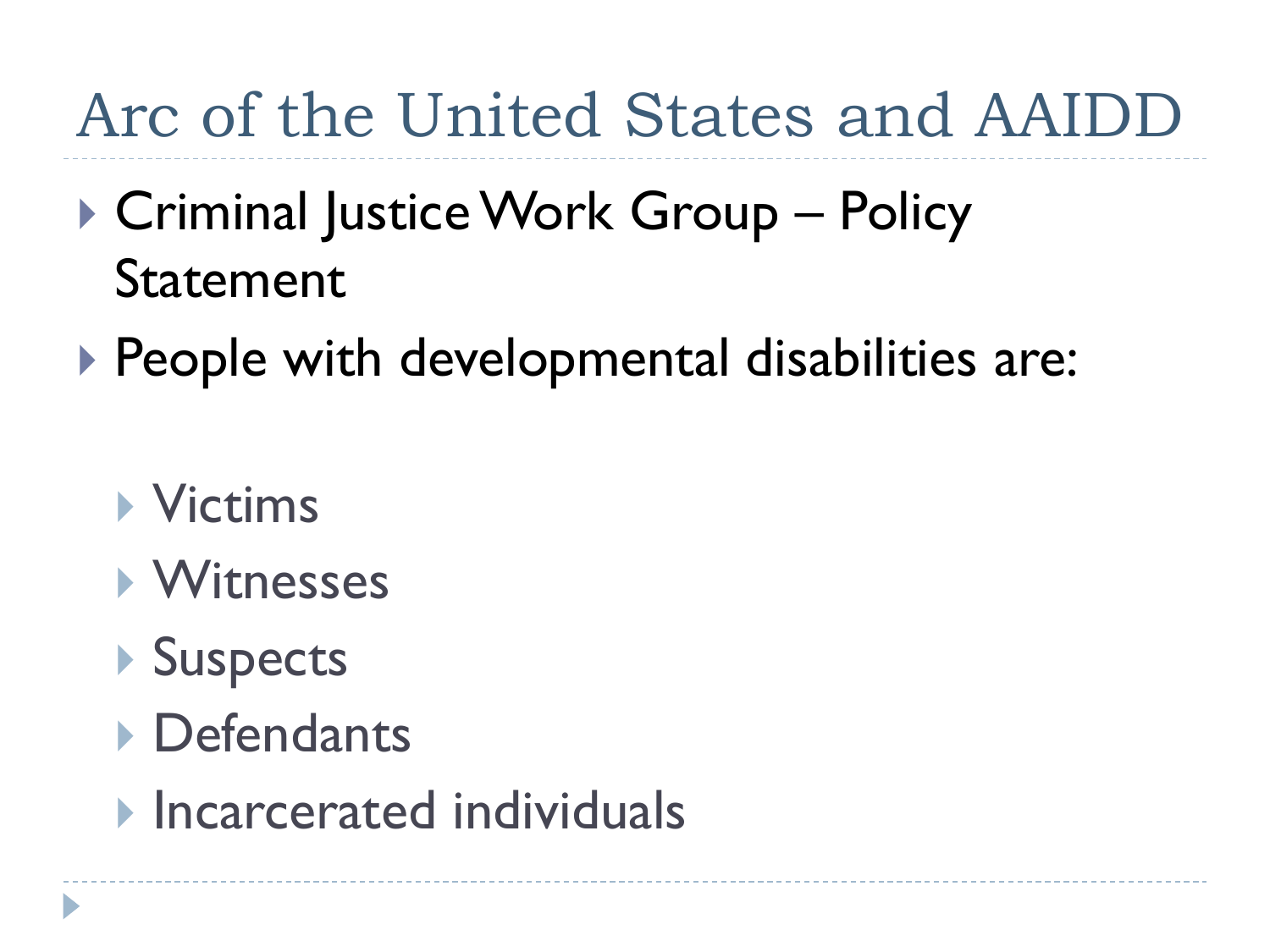## Arc of the United States and AAIDD

- ▶ Criminal Justice Work Group Policy Statement
- ▶ People with developmental disabilities are:
	- **Victims**
	- **Nitnesses**
	- **▶ Suspects**
	- **Defendants**
	- **Incarcerated individuals**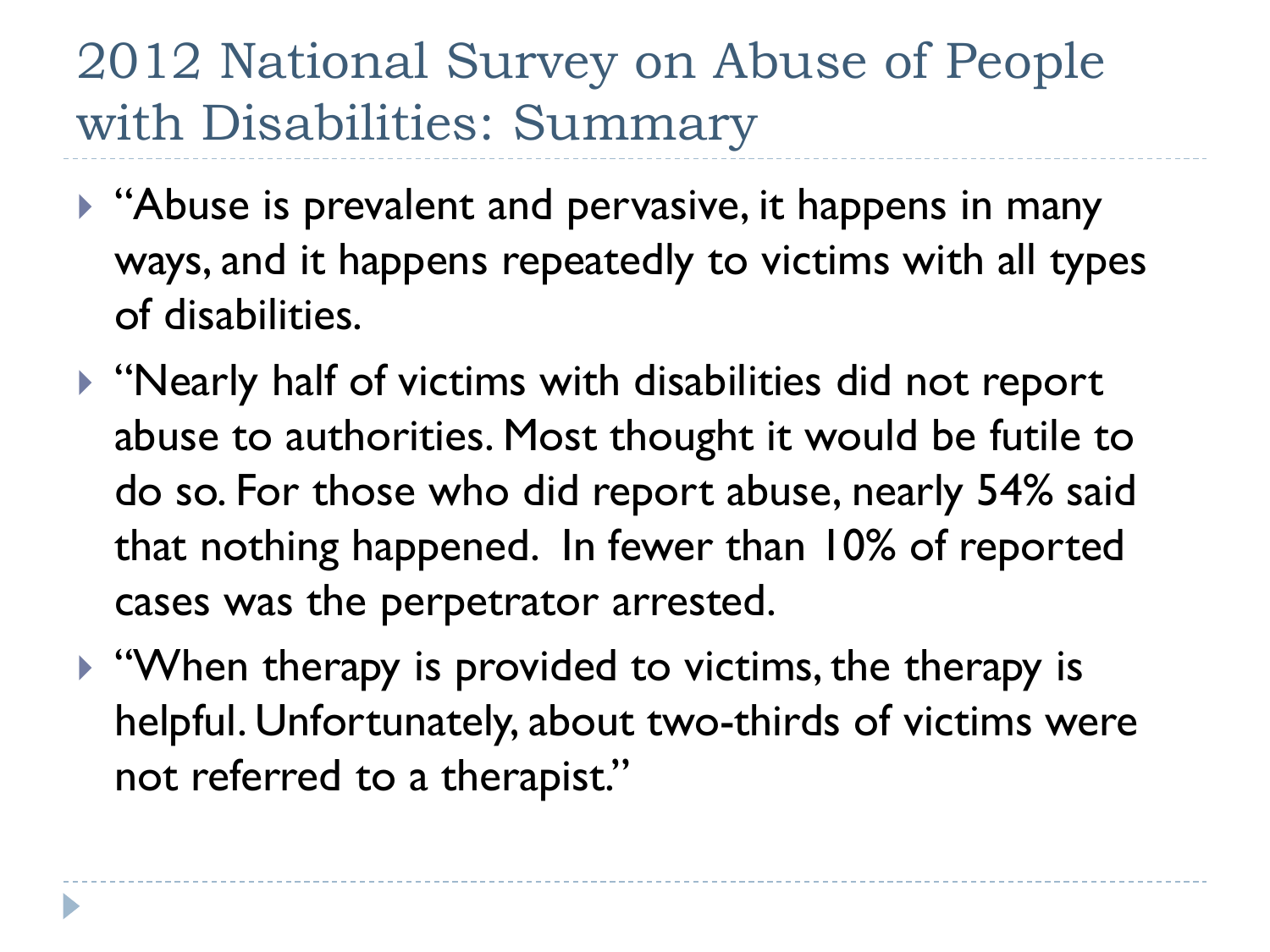#### 2012 National Survey on Abuse of People with Disabilities: Summary

- ▶ "Abuse is prevalent and pervasive, it happens in many ways, and it happens repeatedly to victims with all types of disabilities.
- "Nearly half of victims with disabilities did not report abuse to authorities. Most thought it would be futile to do so. For those who did report abuse, nearly 54% said that nothing happened. In fewer than 10% of reported cases was the perpetrator arrested.
- $\blacktriangleright$  "When therapy is provided to victims, the therapy is helpful. Unfortunately, about two-thirds of victims were not referred to a therapist."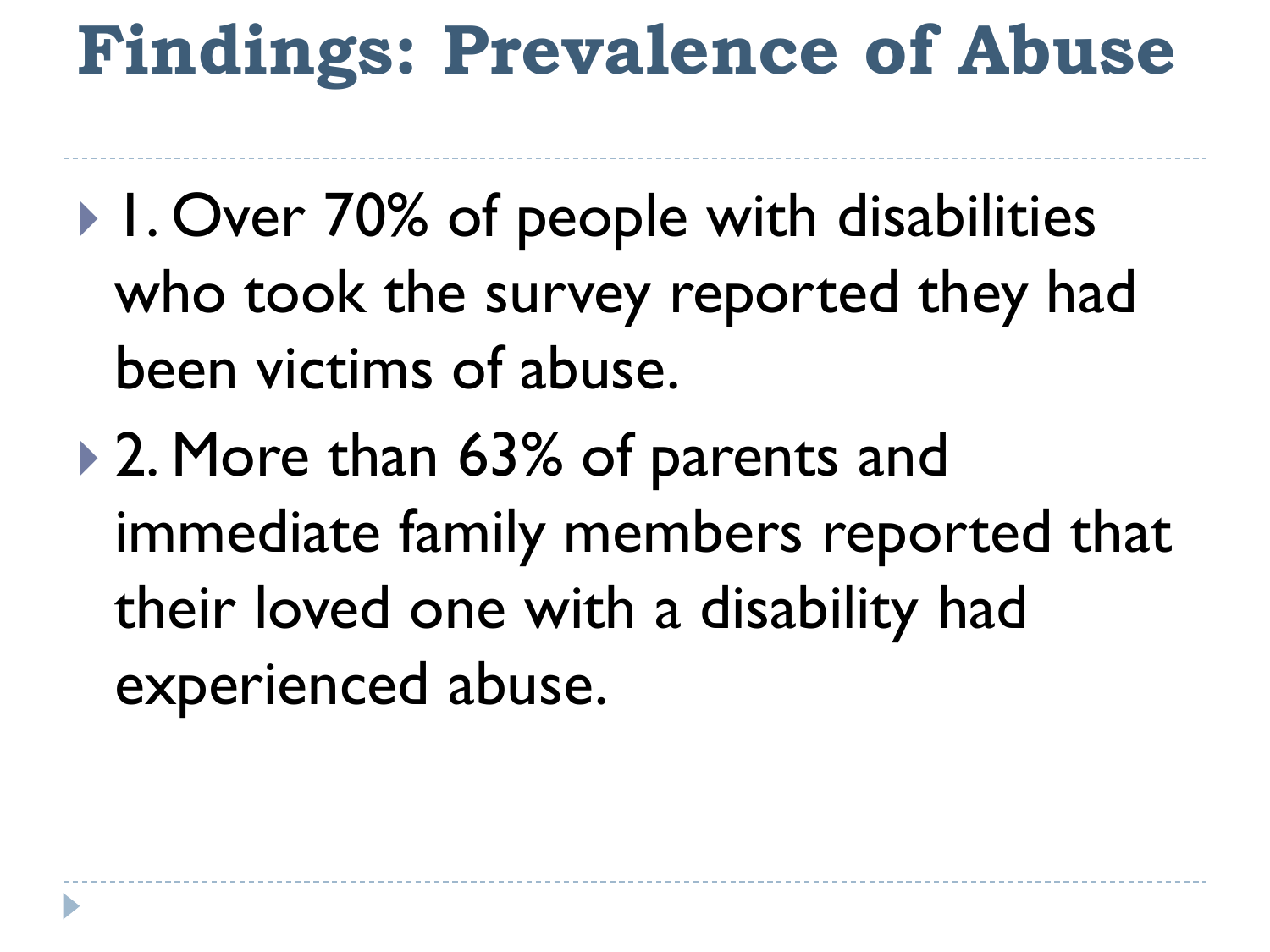# **Findings: Prevalence of Abuse**

- ▶ I. Over 70% of people with disabilities who took the survey reported they had been victims of abuse.
- ▶ 2. More than 63% of parents and immediate family members reported that their loved one with a disability had experienced abuse.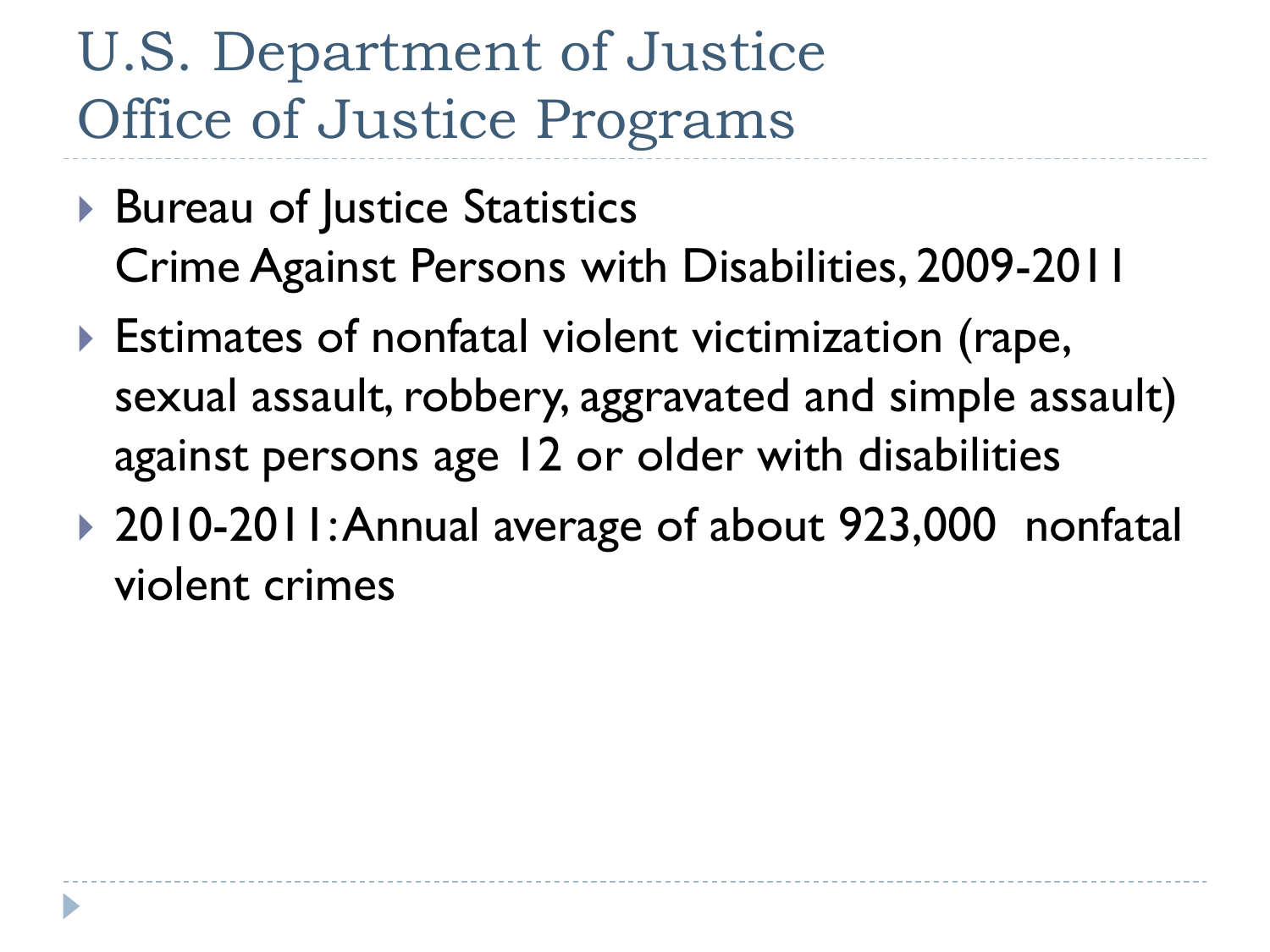## U.S. Department of Justice Office of Justice Programs

- ▶ Bureau of Justice Statistics Crime Against Persons with Disabilities, 2009-2011
- Estimates of nonfatal violent victimization (rape, sexual assault, robbery, aggravated and simple assault) against persons age 12 or older with disabilities
- ▶ 2010-2011: Annual average of about 923,000 nonfatal violent crimes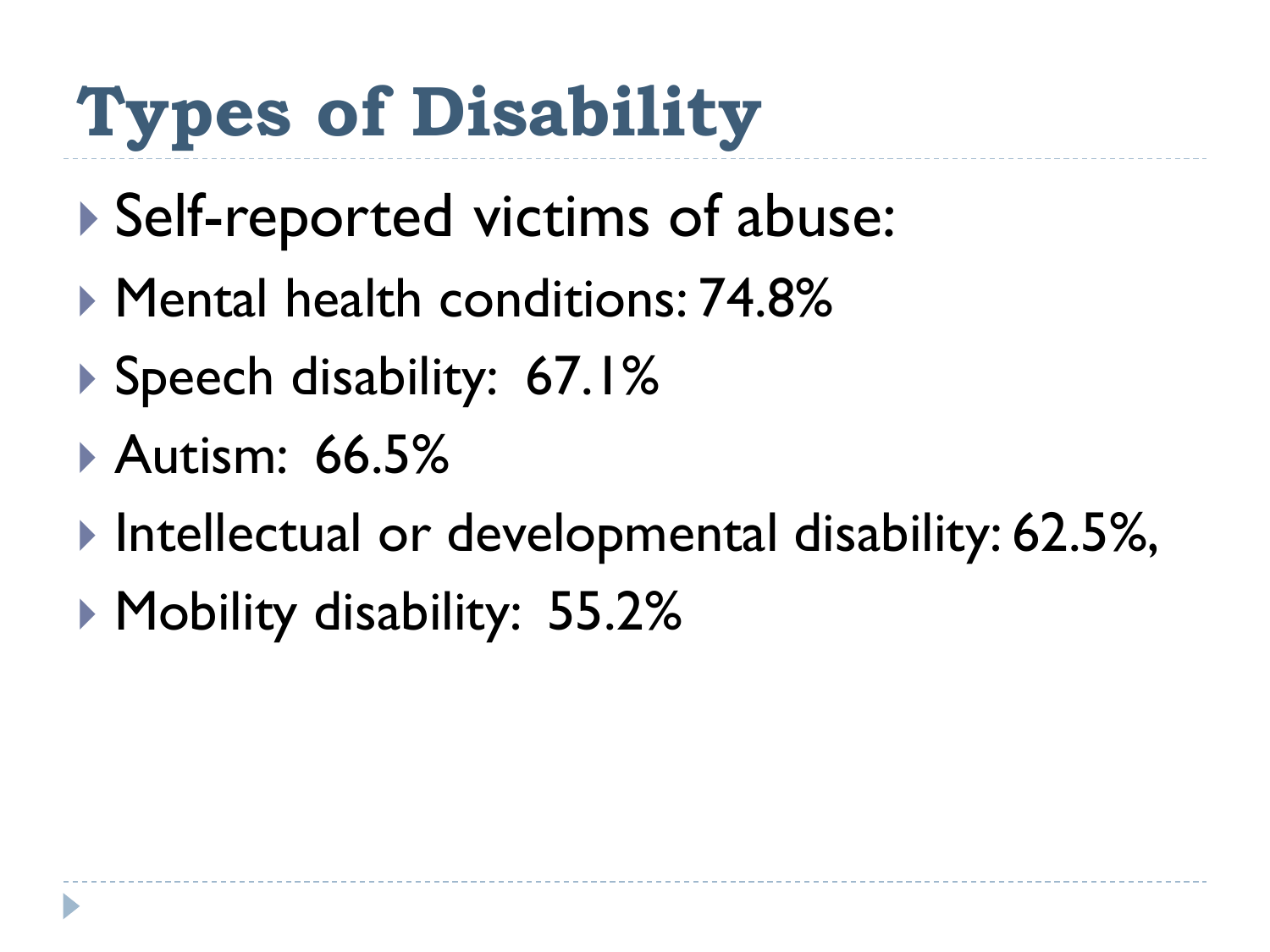# **Types of Disability**

- Self-reported victims of abuse:
- **Mental health conditions: 74.8%**
- ▶ Speech disability: 67.1%
- Autism: 66.5%
- Intellectual or developmental disability: 62.5%,
- ▶ Mobility disability: 55.2%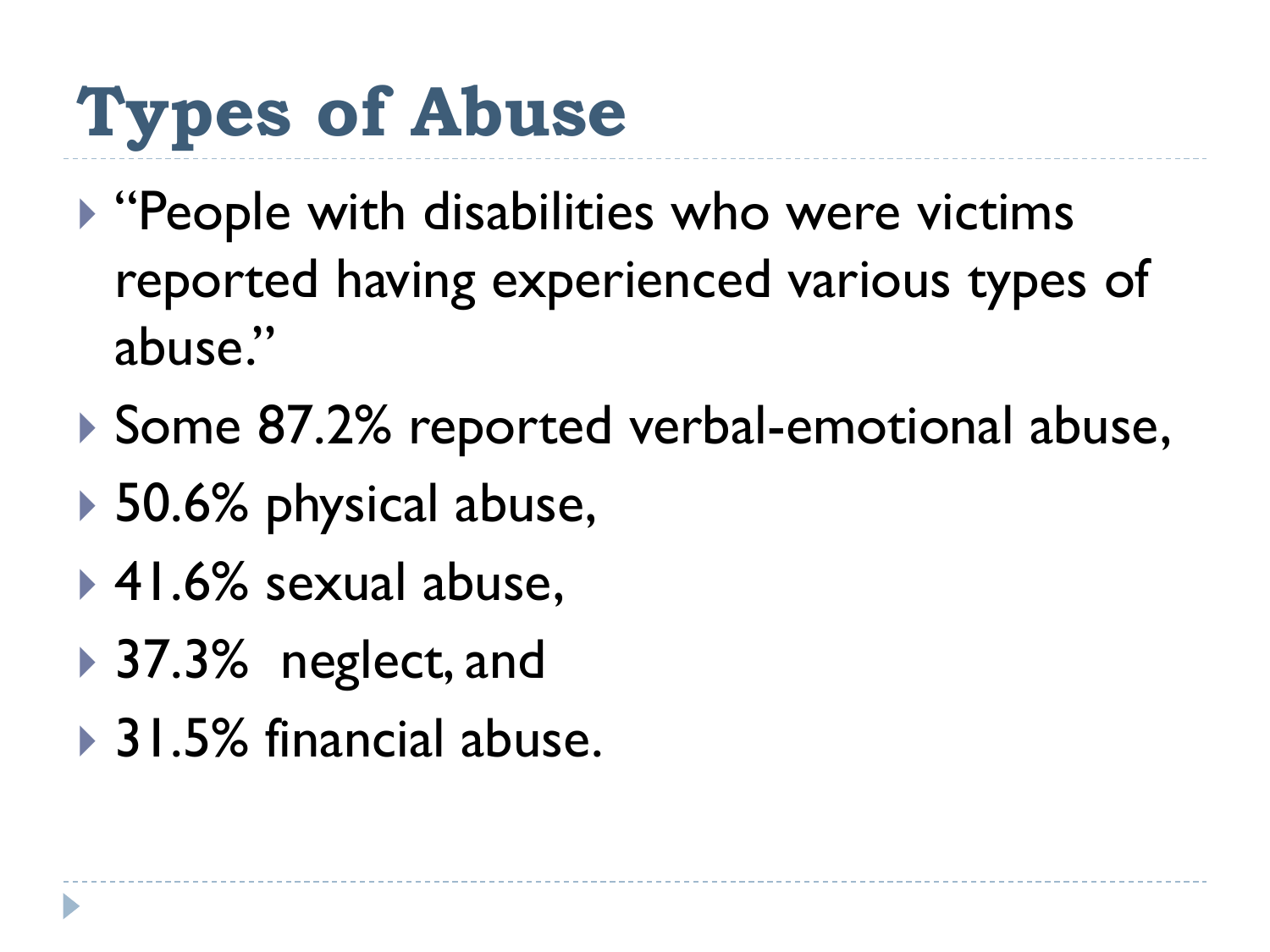# **Types of Abuse**

- ▶ "People with disabilities who were victims reported having experienced various types of abuse."
- ▶ Some 87.2% reported verbal-emotional abuse,
- ▶ 50.6% physical abuse,
- ▶ 41.6% sexual abuse,
- **▶ 37.3%** neglect, and
- ▶ 31.5% financial abuse.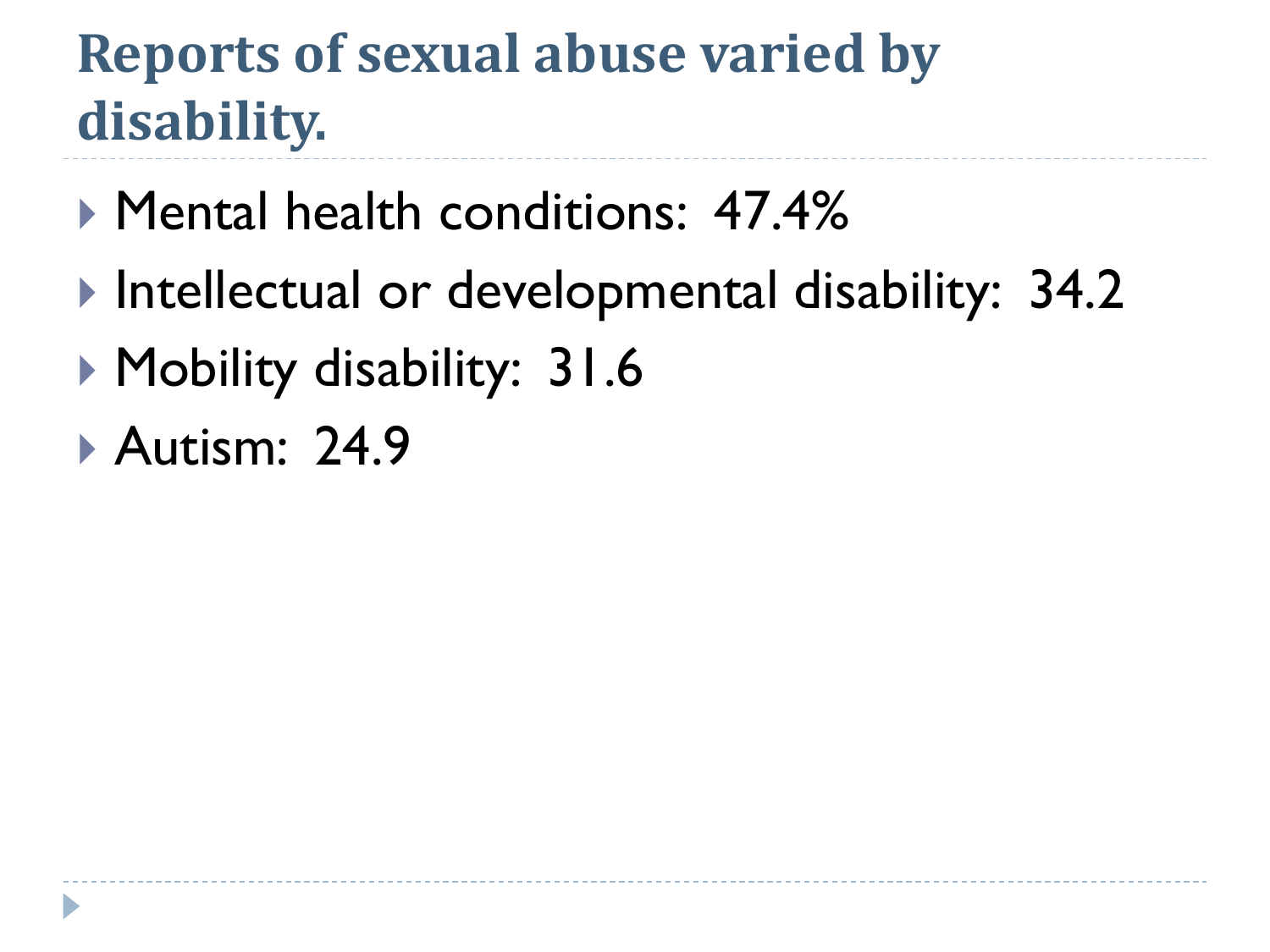## **Reports of sexual abuse varied by disability.**

- ▶ Mental health conditions: 47.4%
- ▶ Intellectual or developmental disability: 34.2
- ▶ Mobility disability: 31.6
- **Autism: 24.9**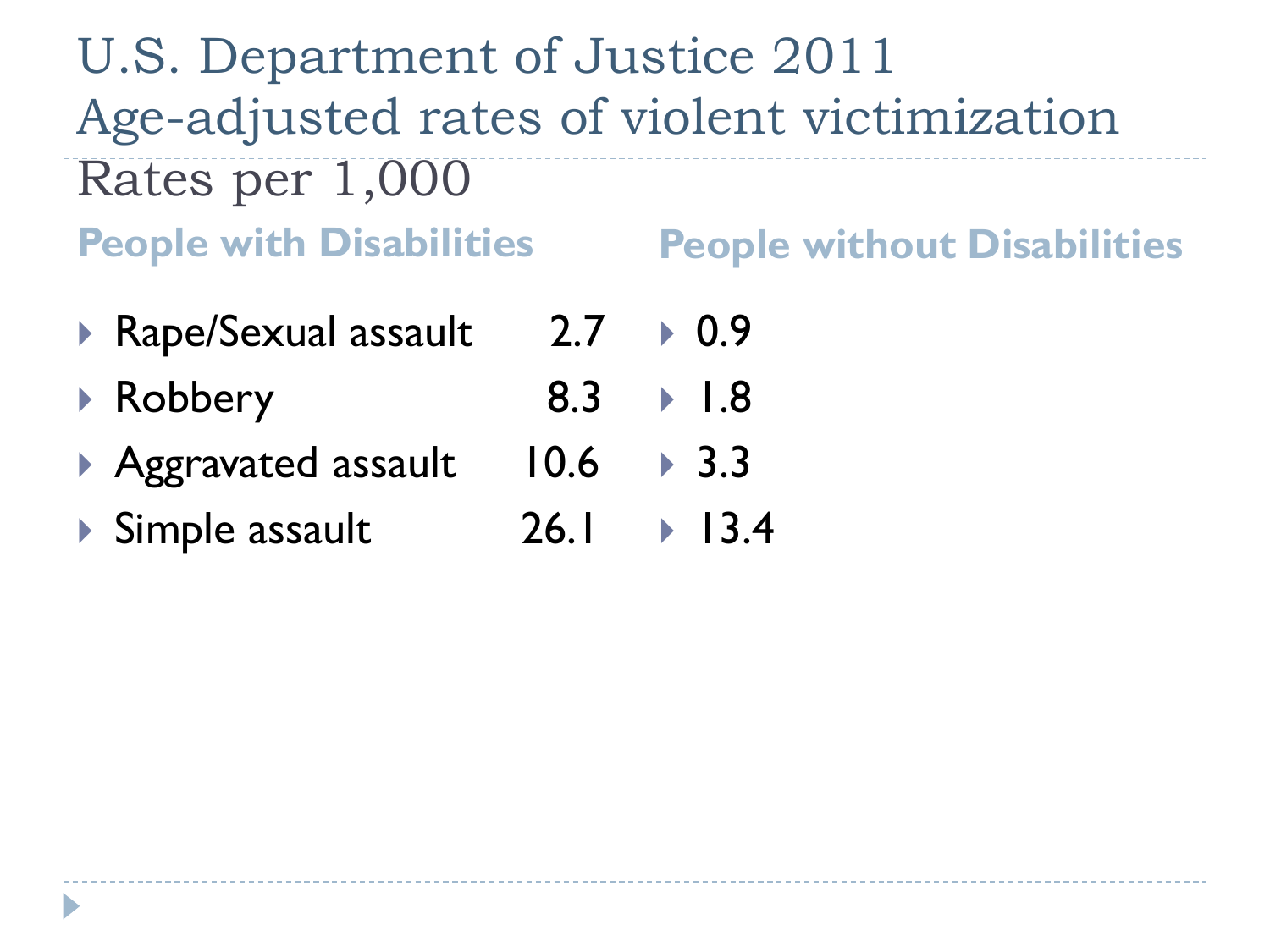U.S. Department of Justice 2011 Age-adjusted rates of violent victimization Rates per 1,000 **People with Disabilities People without Disabilities**

- ▶ Rape/Sexual assault 2.7 ▶ 0.9
- ▶ Robbery 8.3 1.8
- ▶ Aggravated assault 10.6 ▶ 3.3
- ▶ Simple assault 26.1  $|3.4|$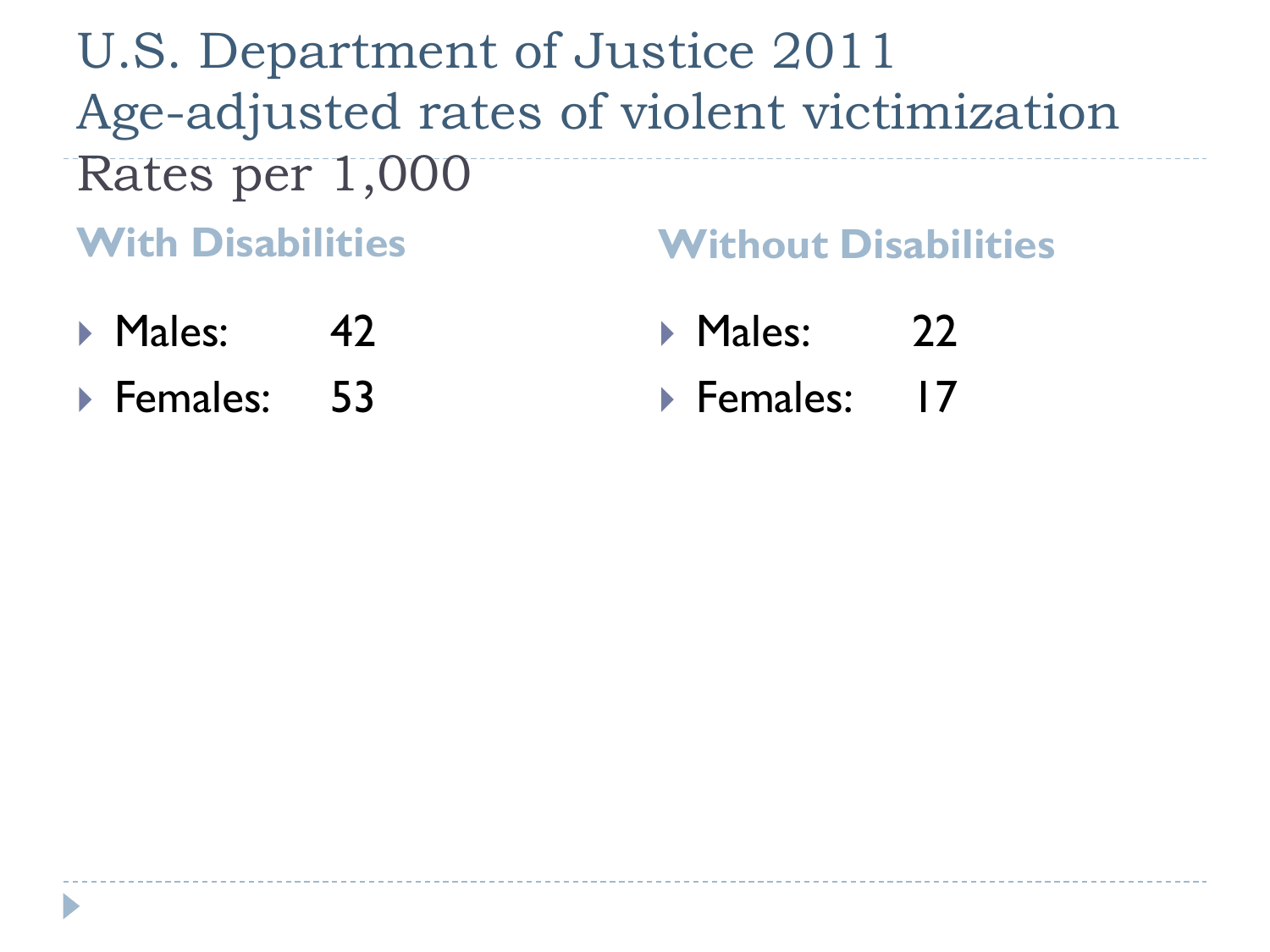U.S. Department of Justice 2011 Age-adjusted rates of violent victimization Rates per 1,000

- **With Disabilities Without Disabilities**
- $\triangleright$  Males: 42
- ▶ Females: 53
- Males: 22
- ▶ Females: 17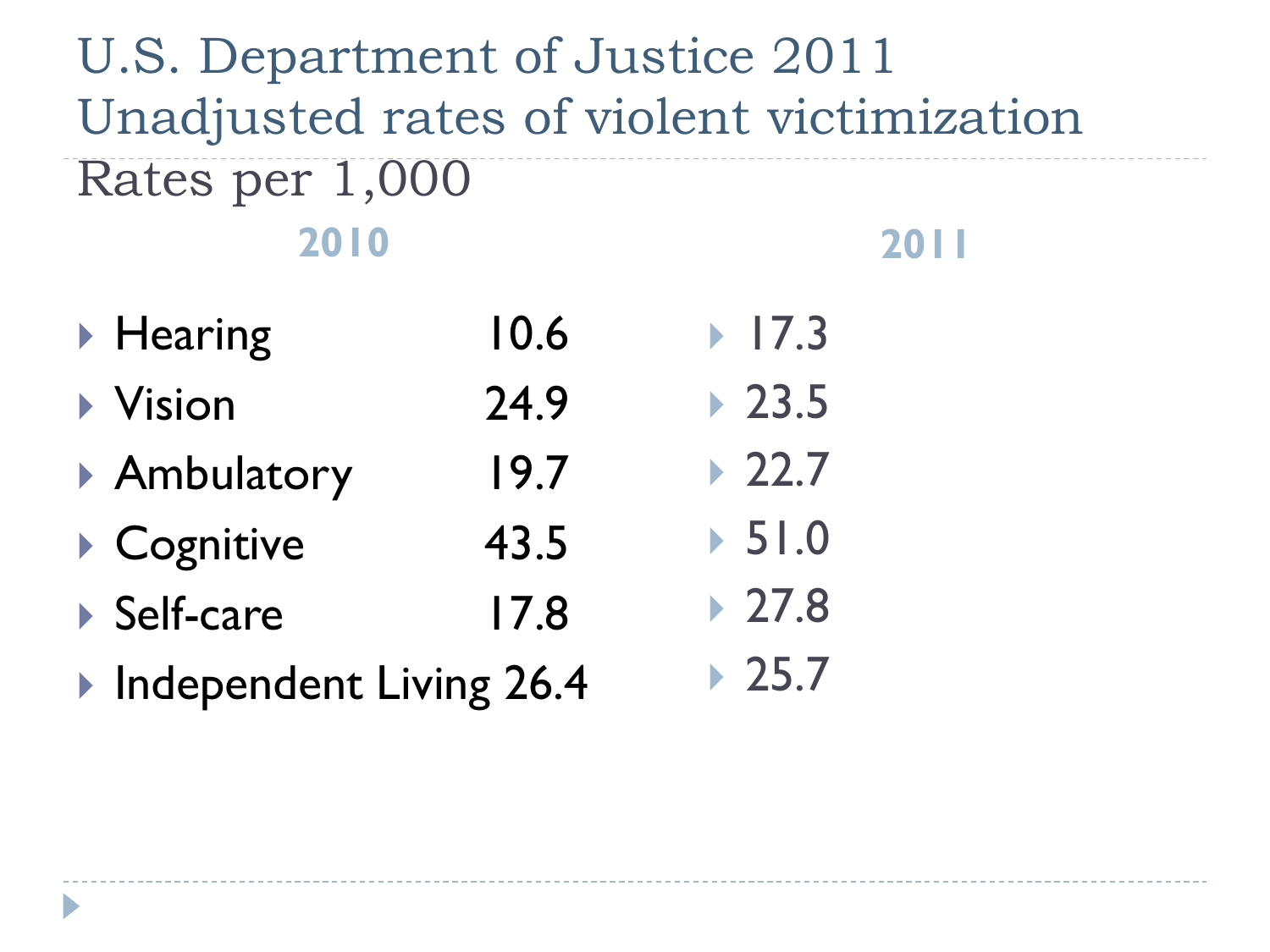#### U.S. Department of Justice 2011 Unadjusted rates of violent victimization Rates per 1,000 **2010 2011**

- ▶ Hearing 10.6 ▶ Vision 24.9 ▶ Ambulatory 19.7 ▶ Cognitive 43.5 ▶ Self-care 17.8  $17.3$  $\triangleright$  23.5  $22.7$  $\triangleright$  51.0 ▶ 27.8  $25.7$
- ▶ Independent Living 26.4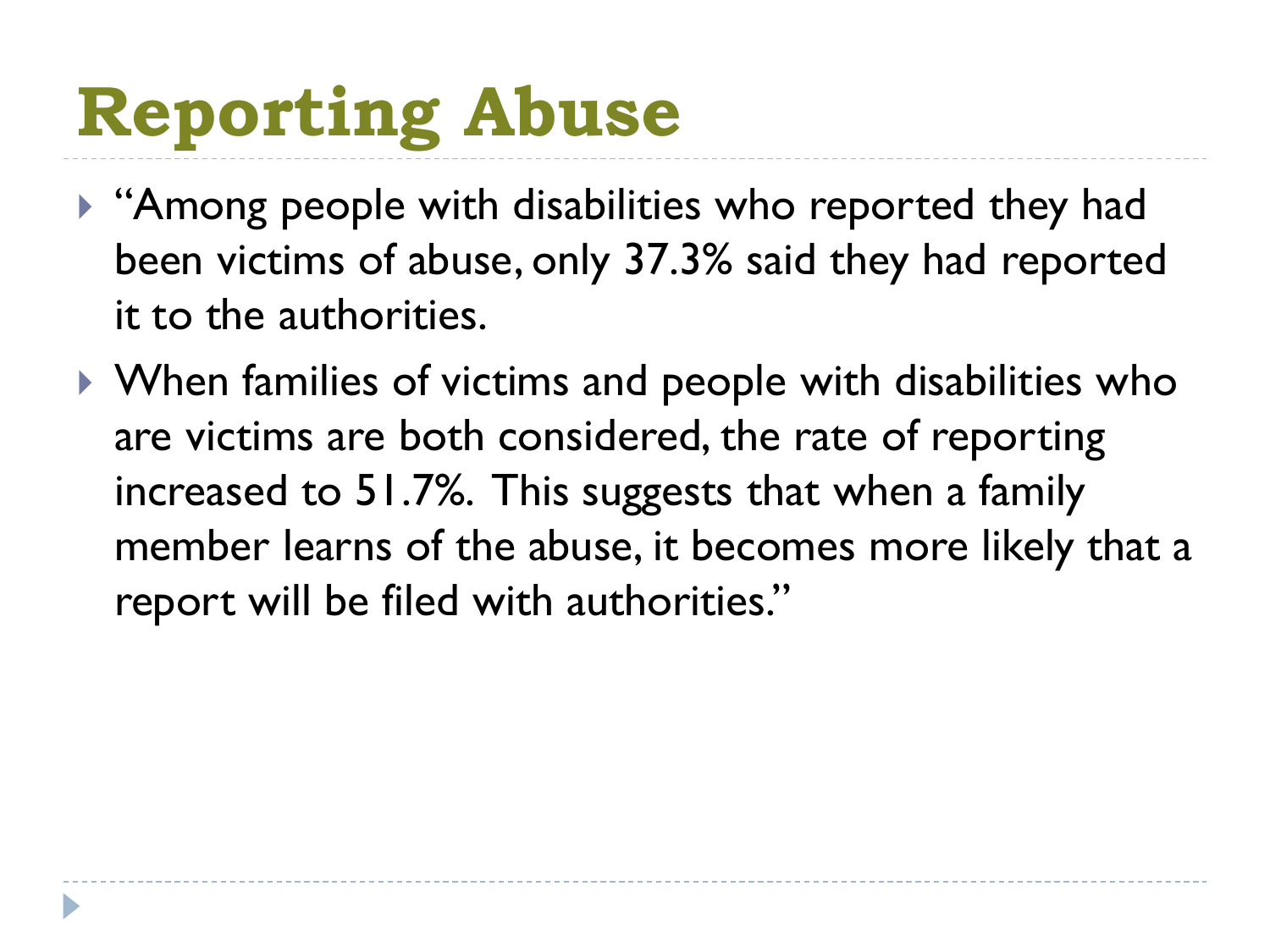# **Reporting Abuse**

- ▶ "Among people with disabilities who reported they had been victims of abuse, only 37.3% said they had reported it to the authorities.
- When families of victims and people with disabilities who are victims are both considered, the rate of reporting increased to 51.7%. This suggests that when a family member learns of the abuse, it becomes more likely that a report will be filed with authorities."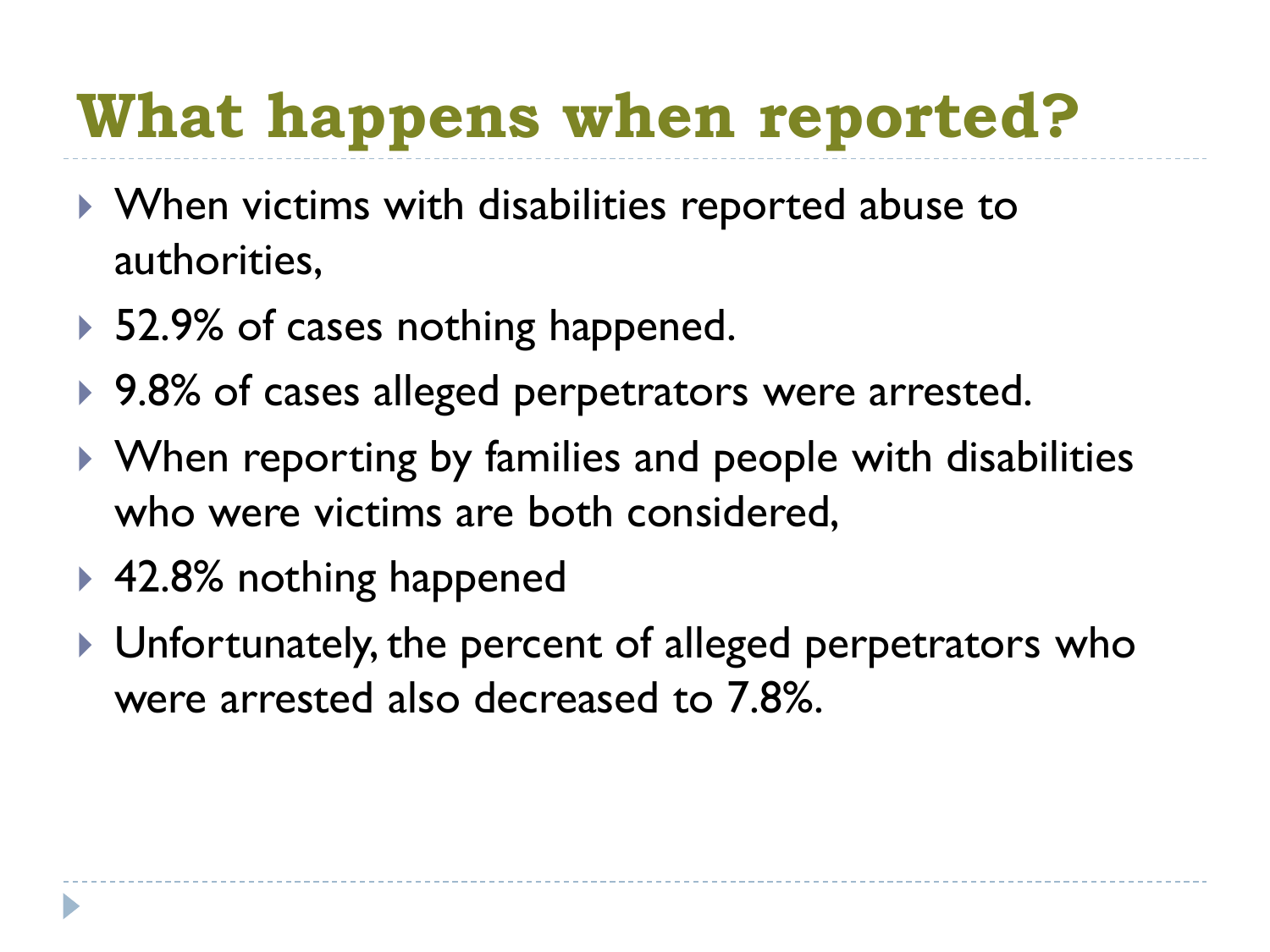## **What happens when reported?**

- ▶ When victims with disabilities reported abuse to authorities,
- ▶ 52.9% of cases nothing happened.
- ▶ 9.8% of cases alleged perpetrators were arrested.
- ▶ When reporting by families and people with disabilities who were victims are both considered,
- ▶ 42.8% nothing happened
- ▶ Unfortunately, the percent of alleged perpetrators who were arrested also decreased to 7.8%.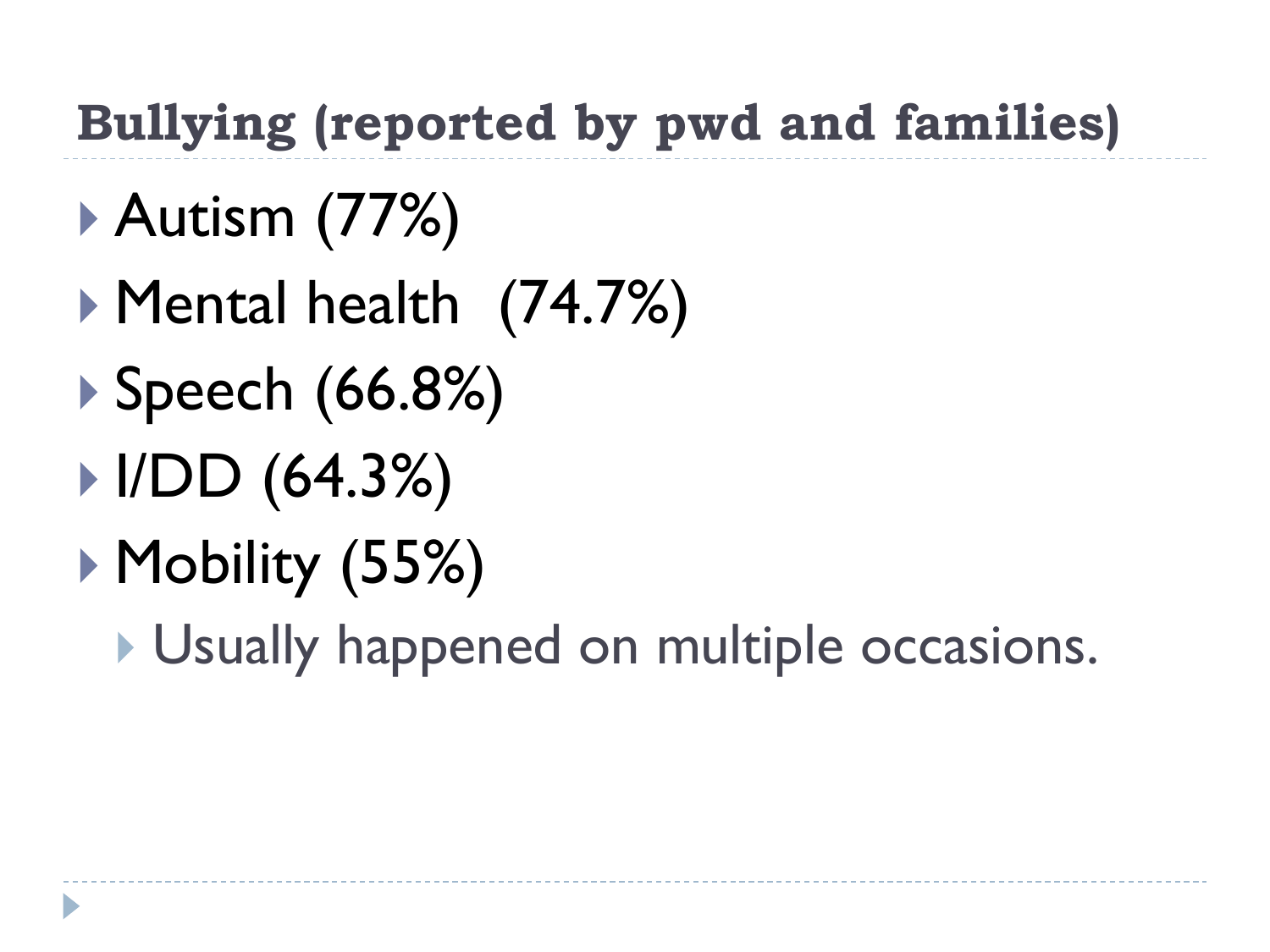#### **Bullying (reported by pwd and families)**

- Autism (77%)
- Mental health (74.7%)
- ▶ Speech (66.8%)
- $|UDD(64.3%)$
- ▶ Mobility (55%)
	- Usually happened on multiple occasions.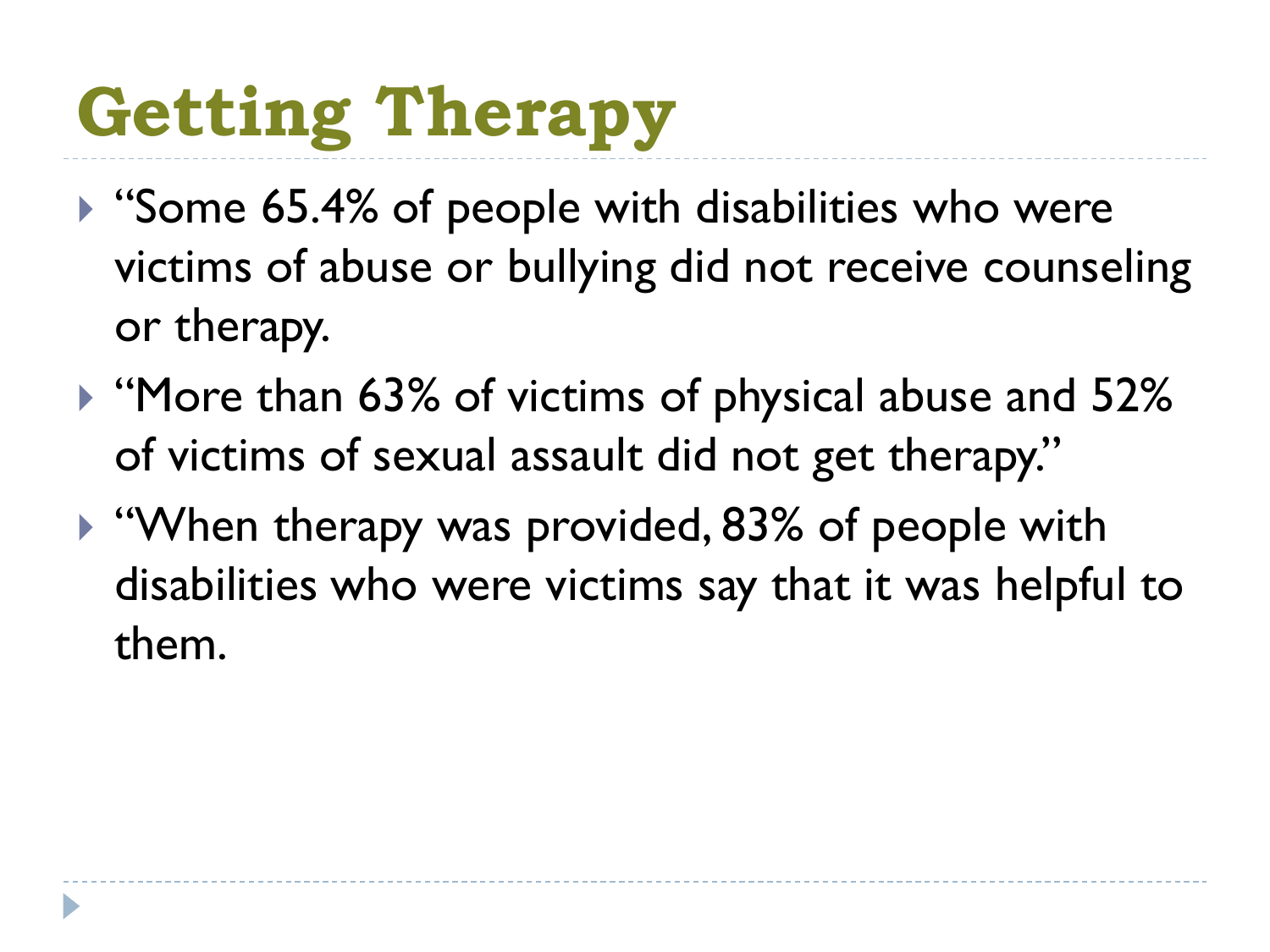# **Getting Therapy**

- ▶ "Some 65.4% of people with disabilities who were victims of abuse or bullying did not receive counseling or therapy.
- ▶ "More than 63% of victims of physical abuse and 52% of victims of sexual assault did not get therapy."
- ▶ "When therapy was provided, 83% of people with disabilities who were victims say that it was helpful to them.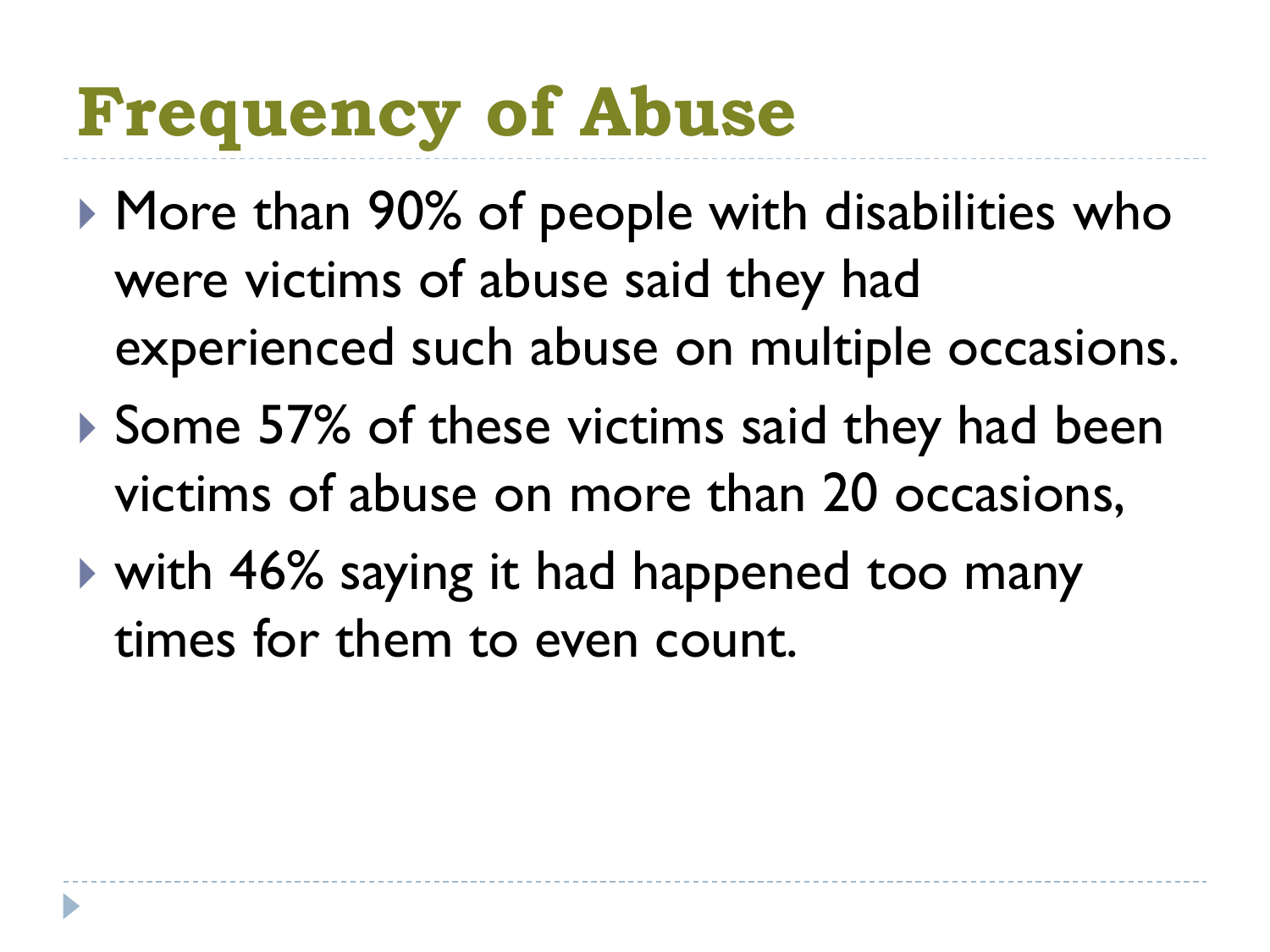# **Frequency of Abuse**

- ▶ More than 90% of people with disabilities who were victims of abuse said they had experienced such abuse on multiple occasions.
- Some 57% of these victims said they had been victims of abuse on more than 20 occasions,
- with 46% saying it had happened too many times for them to even count.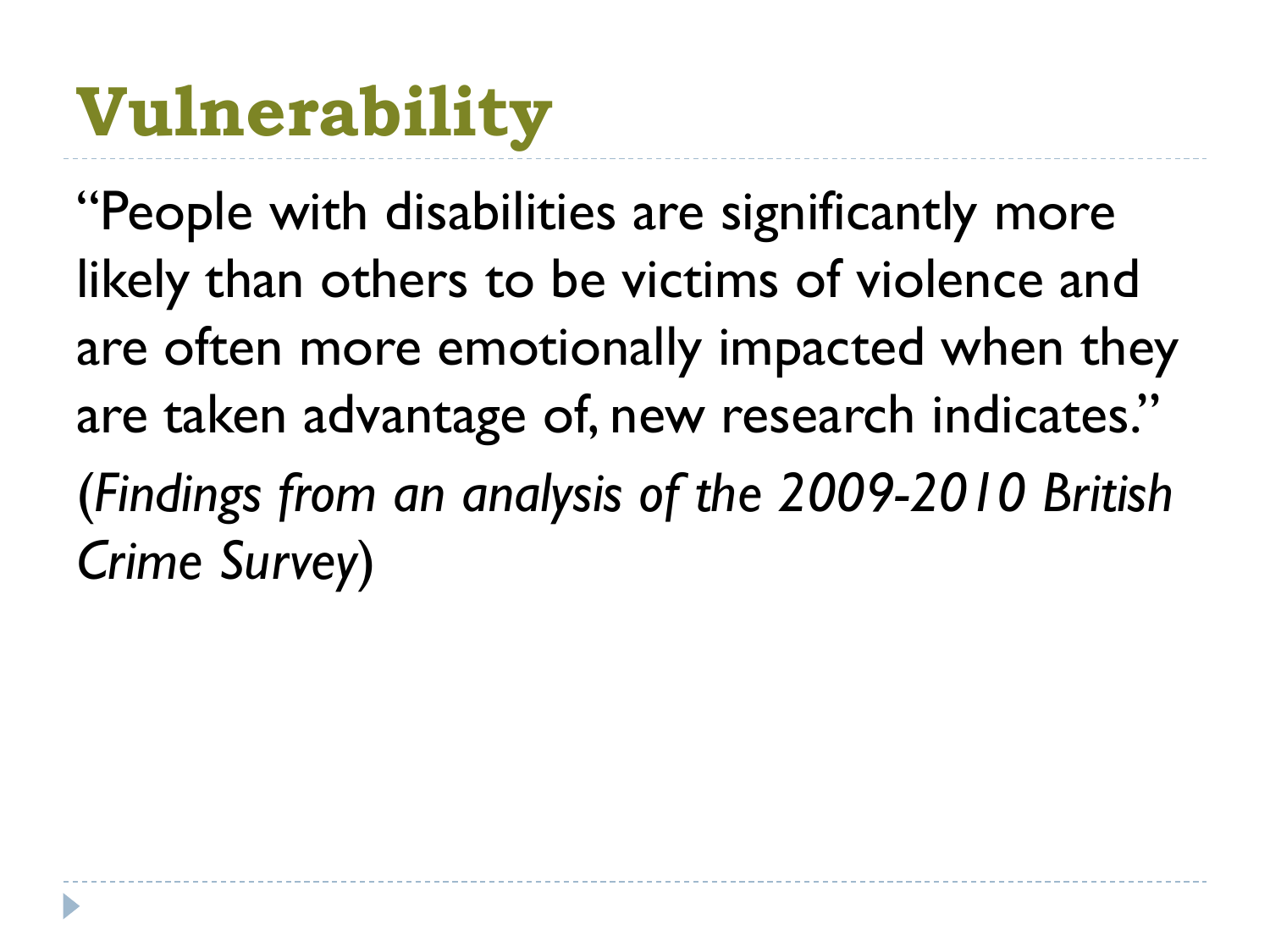# **Vulnerability**

"People with disabilities are significantly more likely than others to be victims of violence and are often more emotionally impacted when they are taken advantage of, new research indicates." (*Findings from an analysis of the 2009-2010 British Crime Survey*)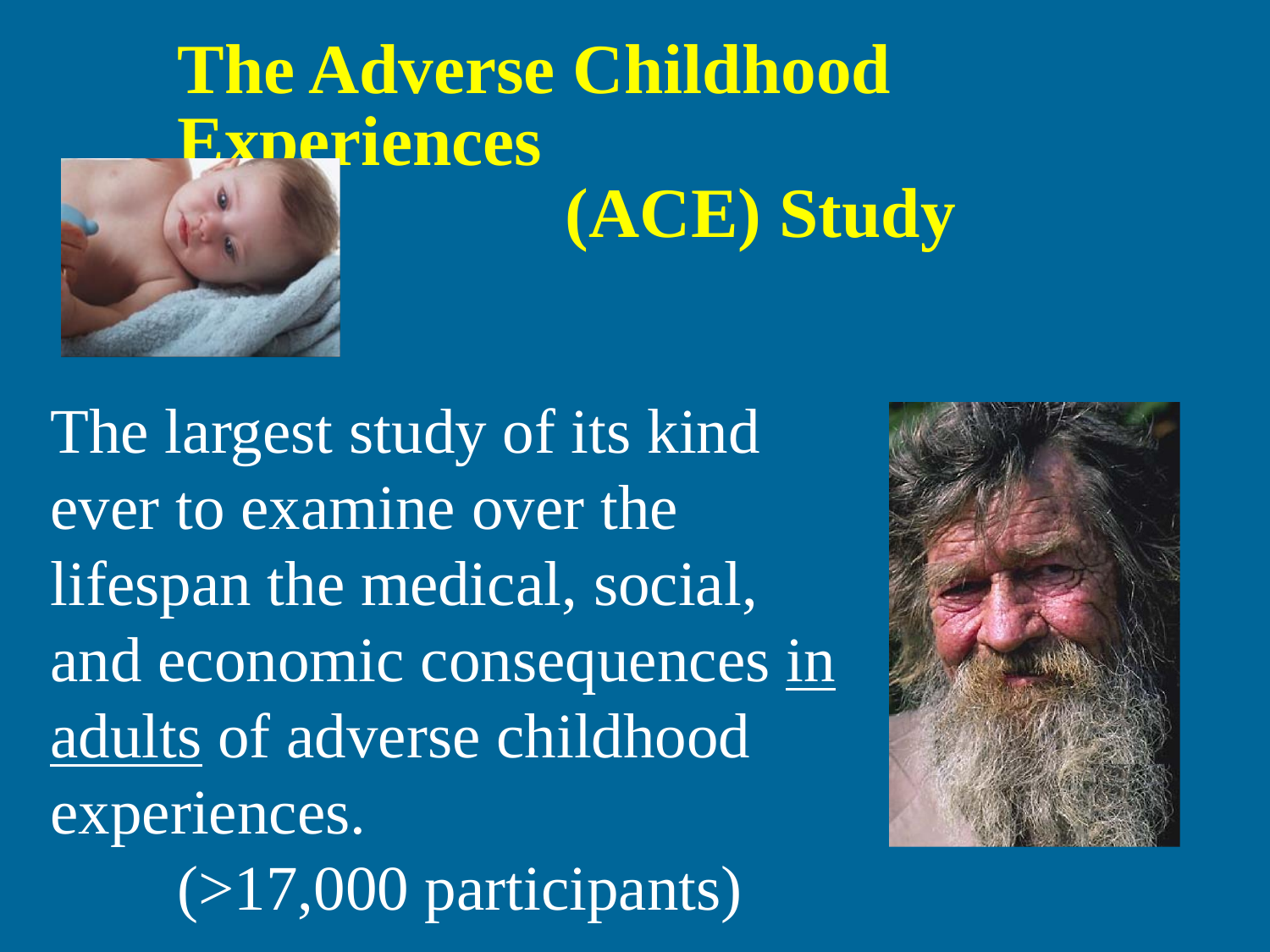

The largest study of its kind ever to examine over the lifespan the medical, social, and economic consequences in adults of adverse childhood experiences. (>17,000 participants)

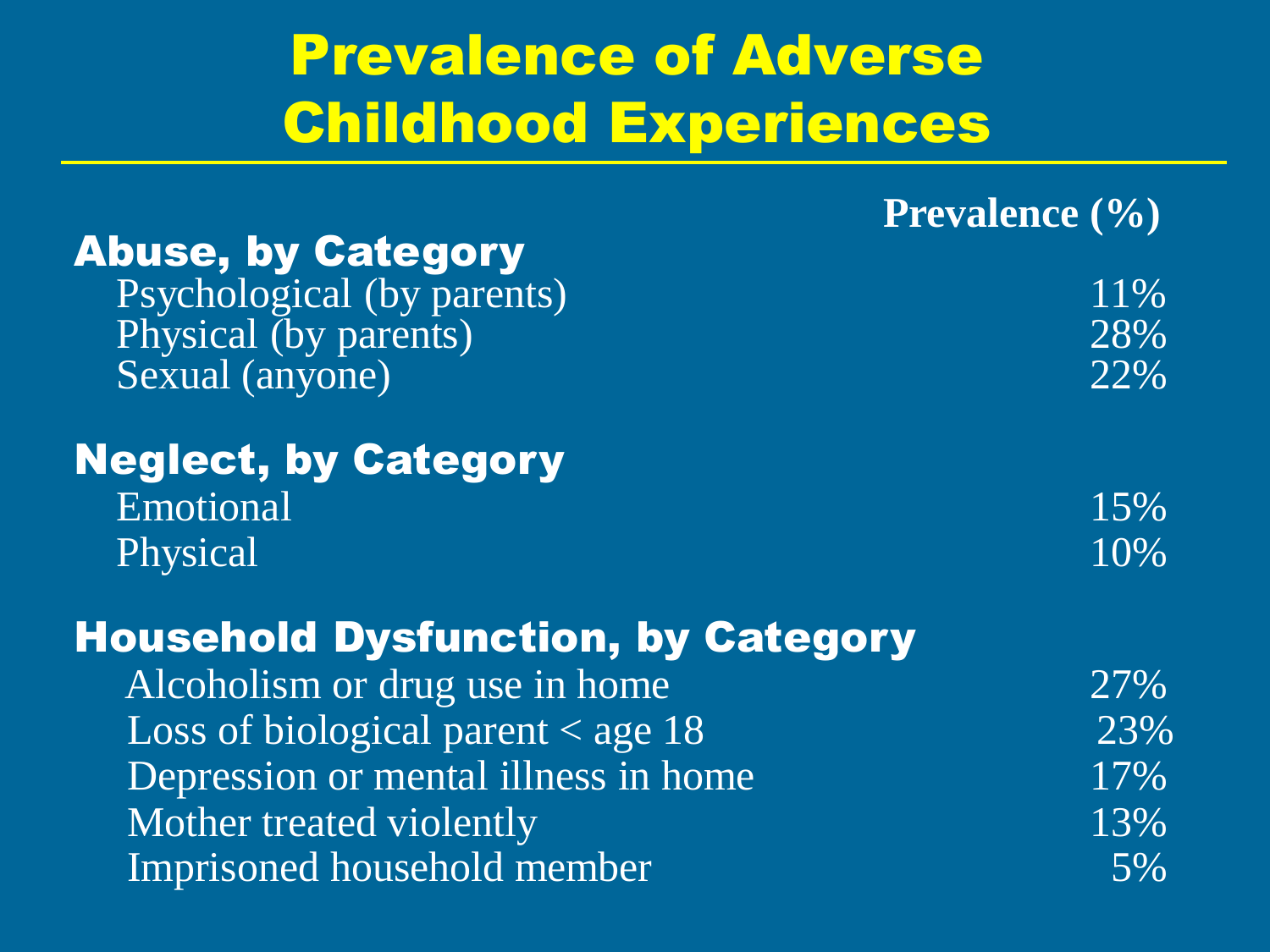## Prevalence of Adverse Childhood Experiences

|  | <b>Prevalence</b> (%) |  |  |
|--|-----------------------|--|--|
|--|-----------------------|--|--|

| <b>Abuse, by Category</b>                  |       |
|--------------------------------------------|-------|
| Psychological (by parents)                 | 11%   |
| Physical (by parents)                      | 28%   |
| Sexual (anyone)                            | 22%   |
| <b>Neglect, by Category</b>                |       |
| Emotional                                  | 15%   |
| Physical                                   | 10%   |
| <b>Household Dysfunction, by Category</b>  |       |
| Alcoholism or drug use in home             | 27%   |
| Loss of biological parent $\langle$ age 18 | 23%   |
| Depression or mental illness in home       | 17%   |
| Mother treated violently                   | 13%   |
| Imprisoned household member                | $5\%$ |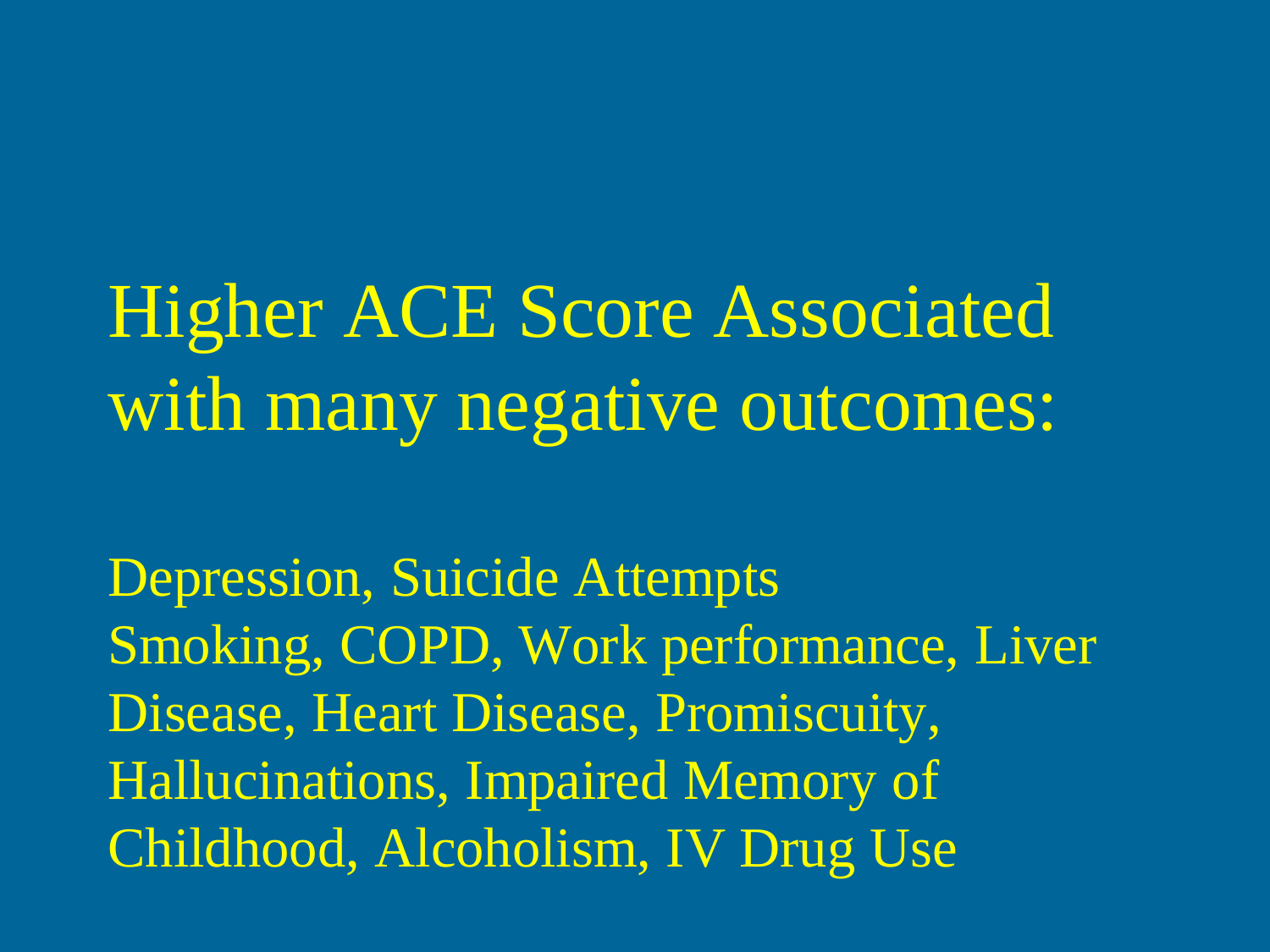Higher ACE Score Associated with many negative outcomes:

Depression, Suicide Attempts Smoking, COPD, Work performance, Liver Disease, Heart Disease, Promiscuity, Hallucinations, Impaired Memory of Childhood, Alcoholism, IV Drug Use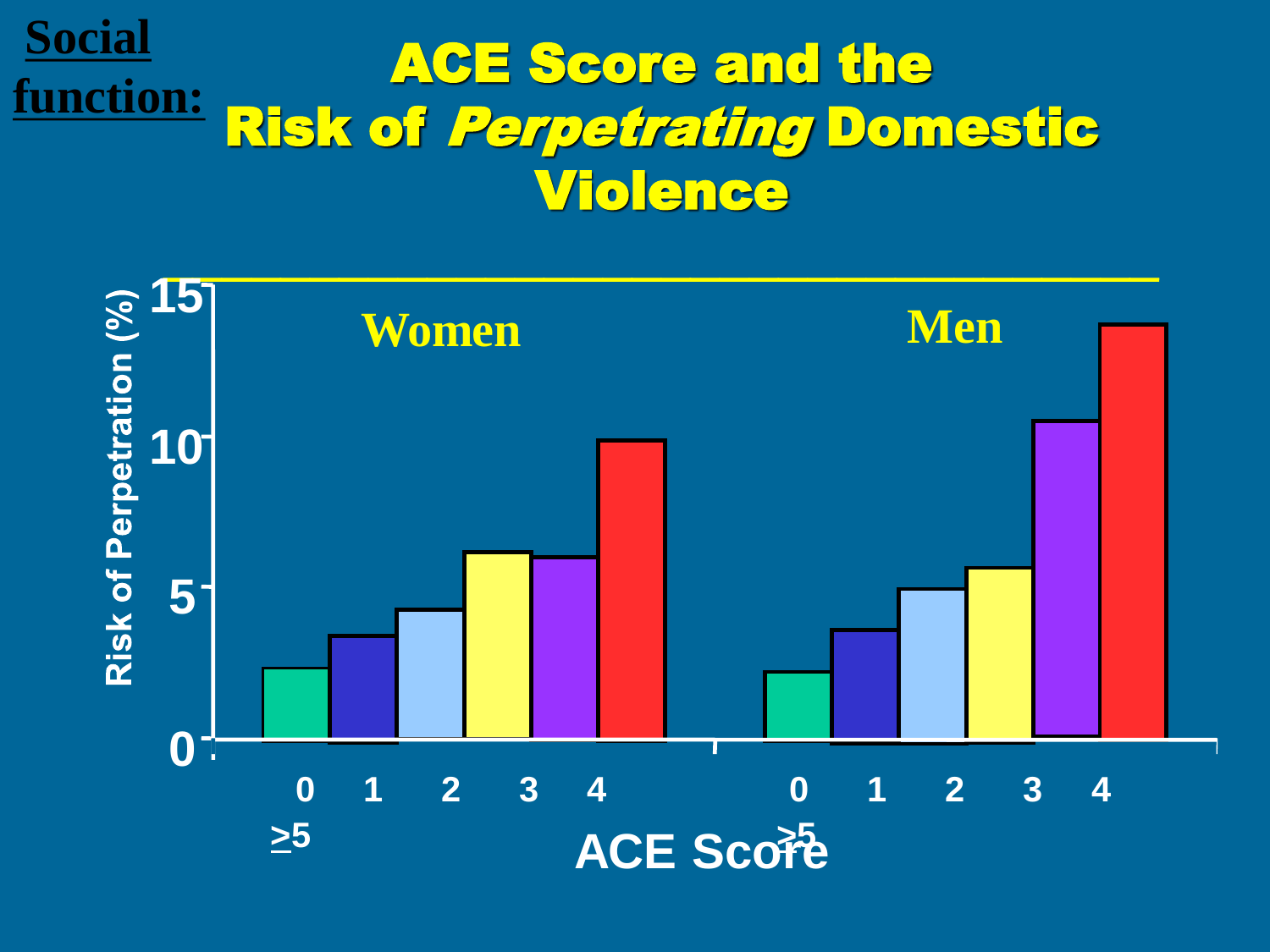#### ACE Score and the Risk of Perpetrating Domestic Violence **Social function:**

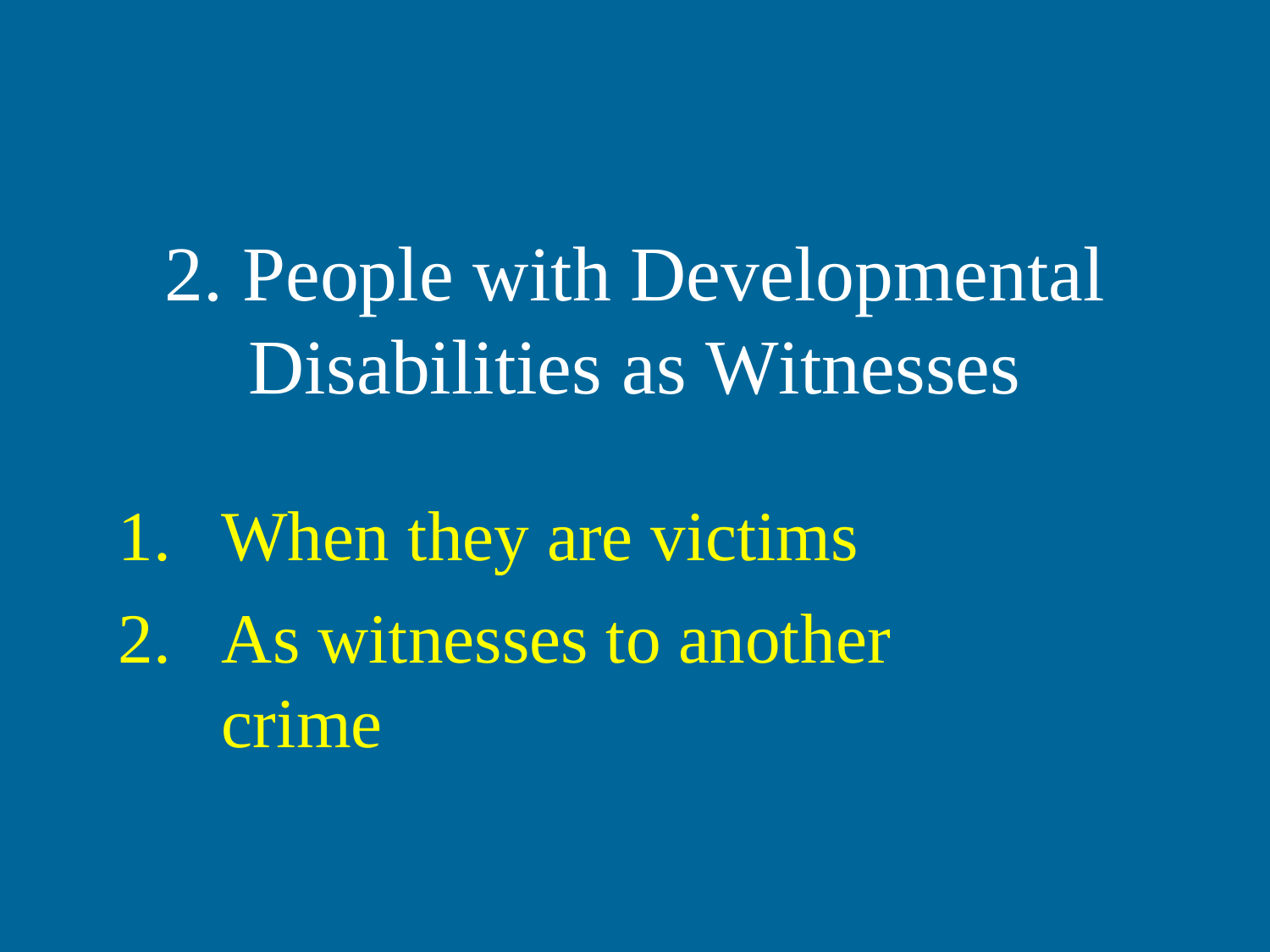2. People with Developmental Disabilities as Witnesses

1. When they are victims 2. As witnesses to another crime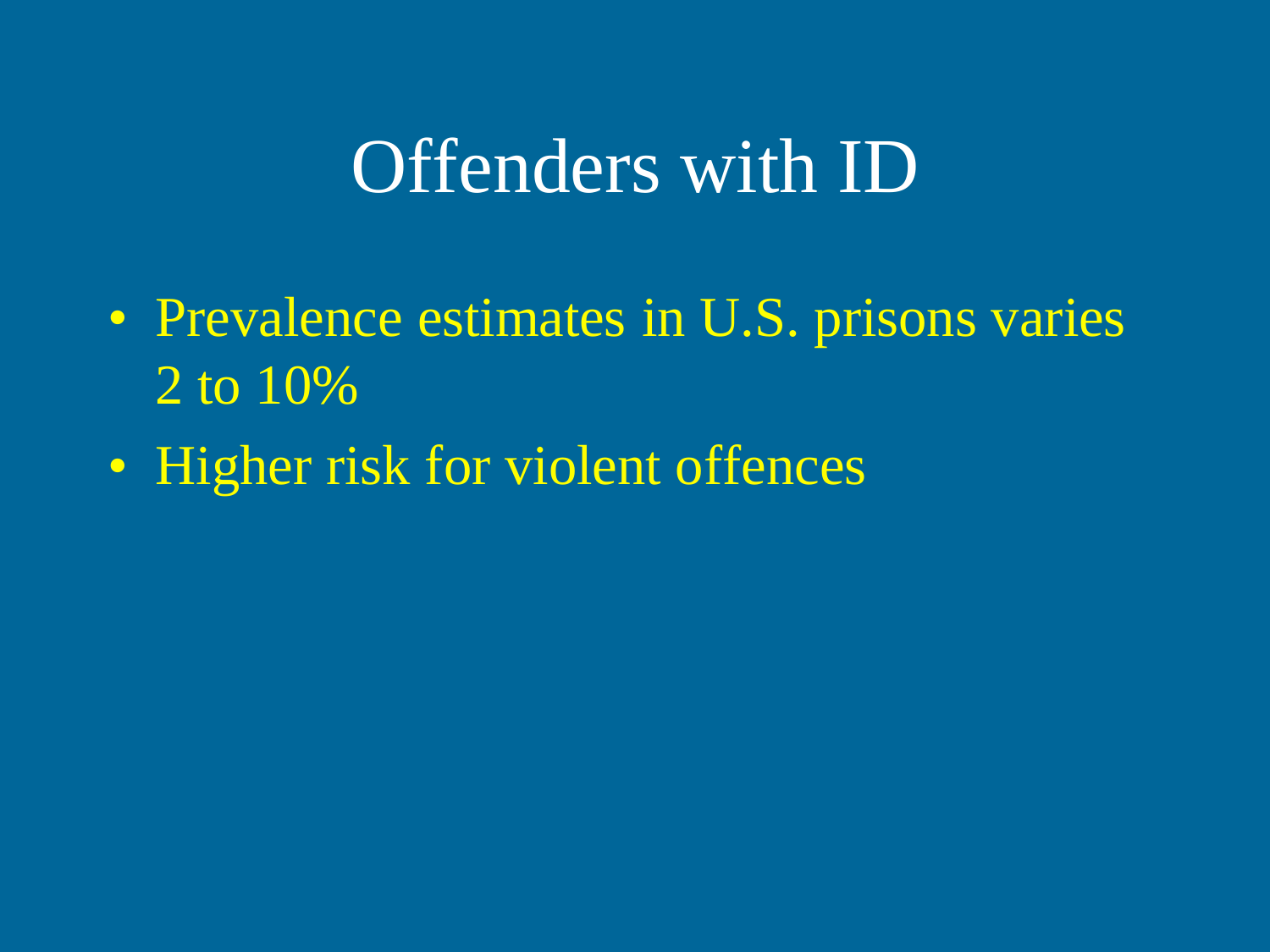## Offenders with ID

- Prevalence estimates in U.S. prisons varies 2 to 10%
- Higher risk for violent offences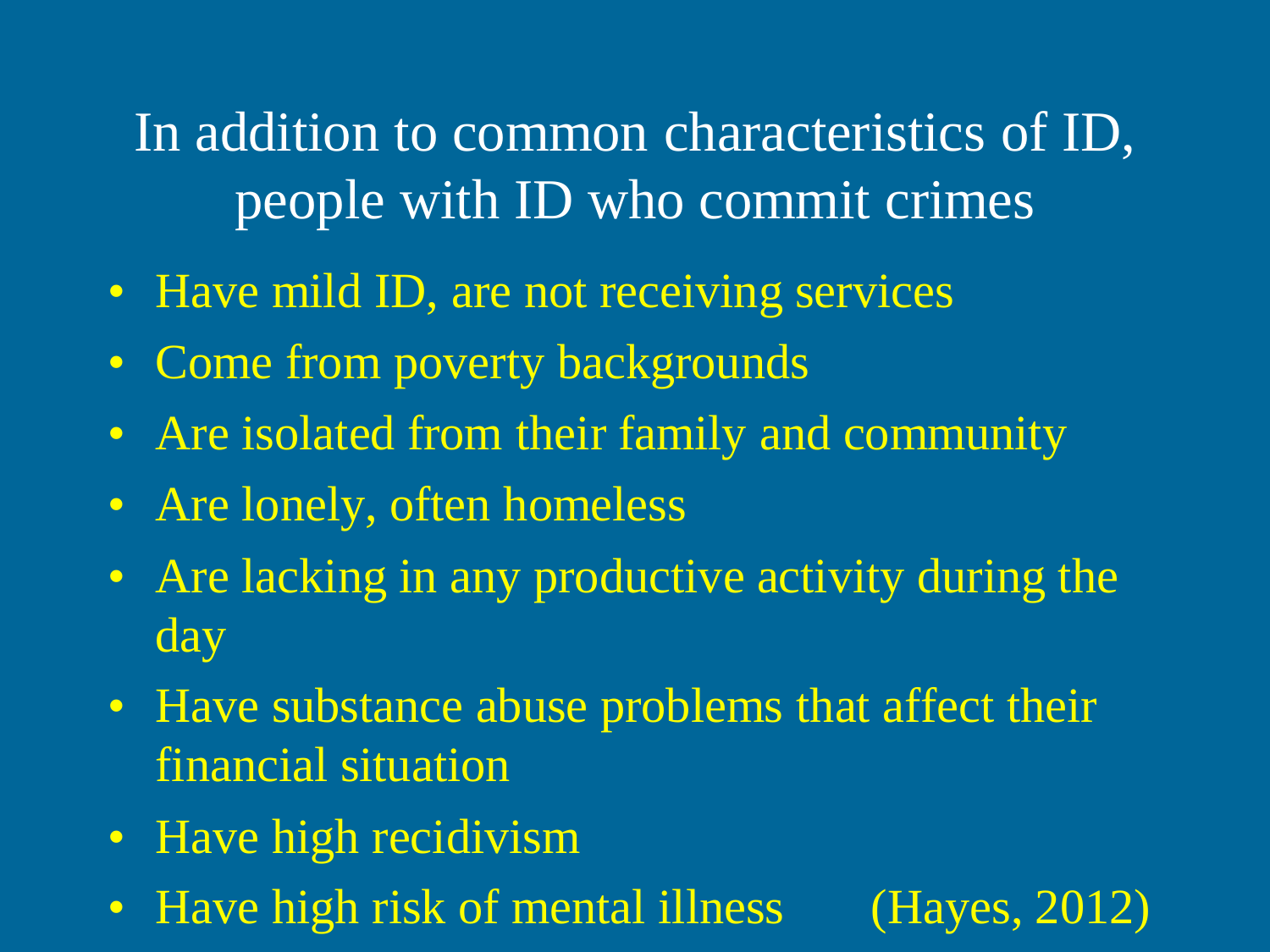In addition to common characteristics of ID, people with ID who commit crimes

- Have mild ID, are not receiving services
- Come from poverty backgrounds
- Are isolated from their family and community
- Are lonely, often homeless
- Are lacking in any productive activity during the day
- Have substance abuse problems that affect their financial situation
- Have high recidivism
- Have high risk of mental illness (Hayes, 2012)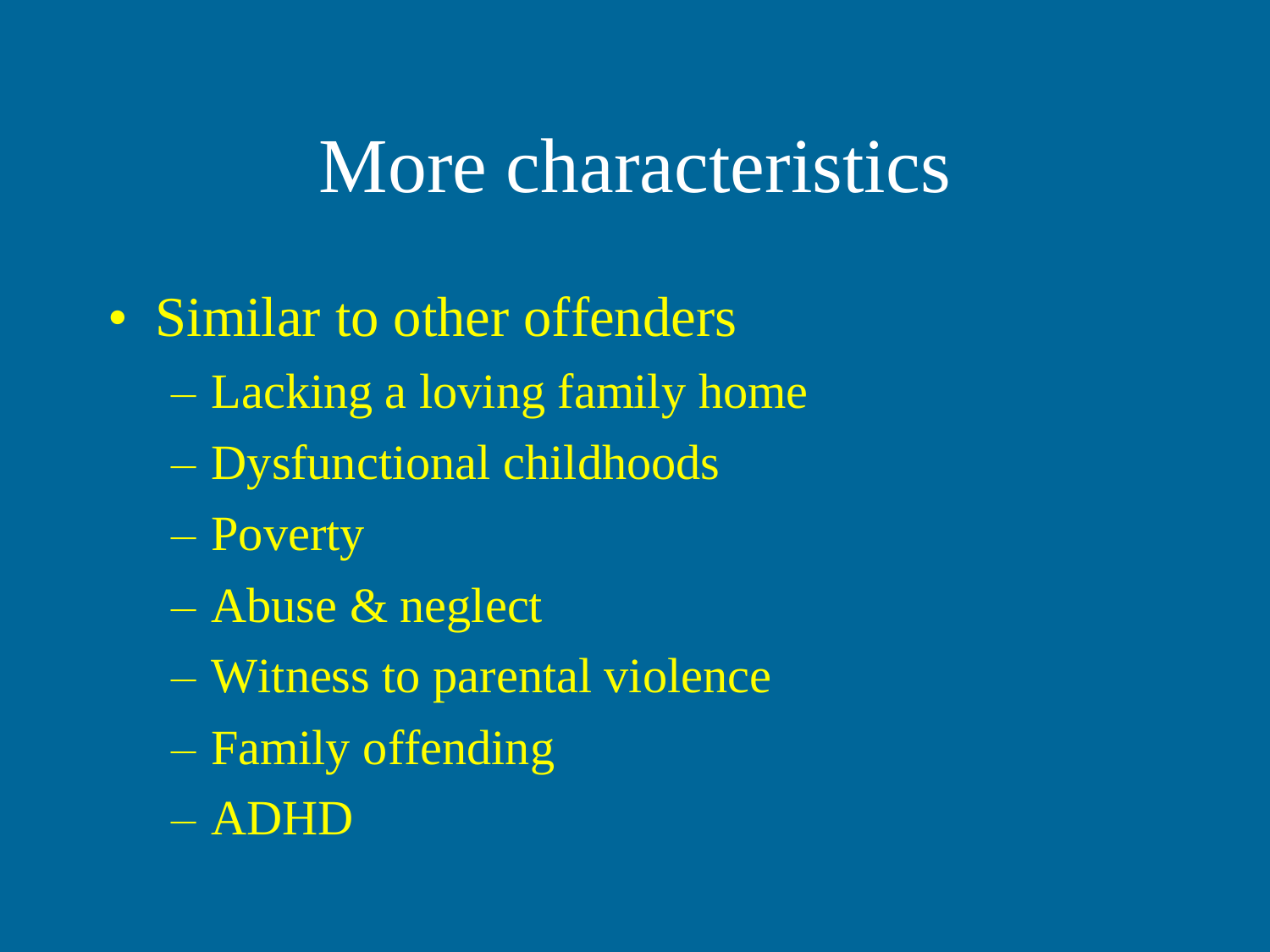## More characteristics

#### • Similar to other offenders

- Lacking a loving family home
- Dysfunctional childhoods
- Poverty
- Abuse & neglect
- Witness to parental violence
- Family offending
- ADHD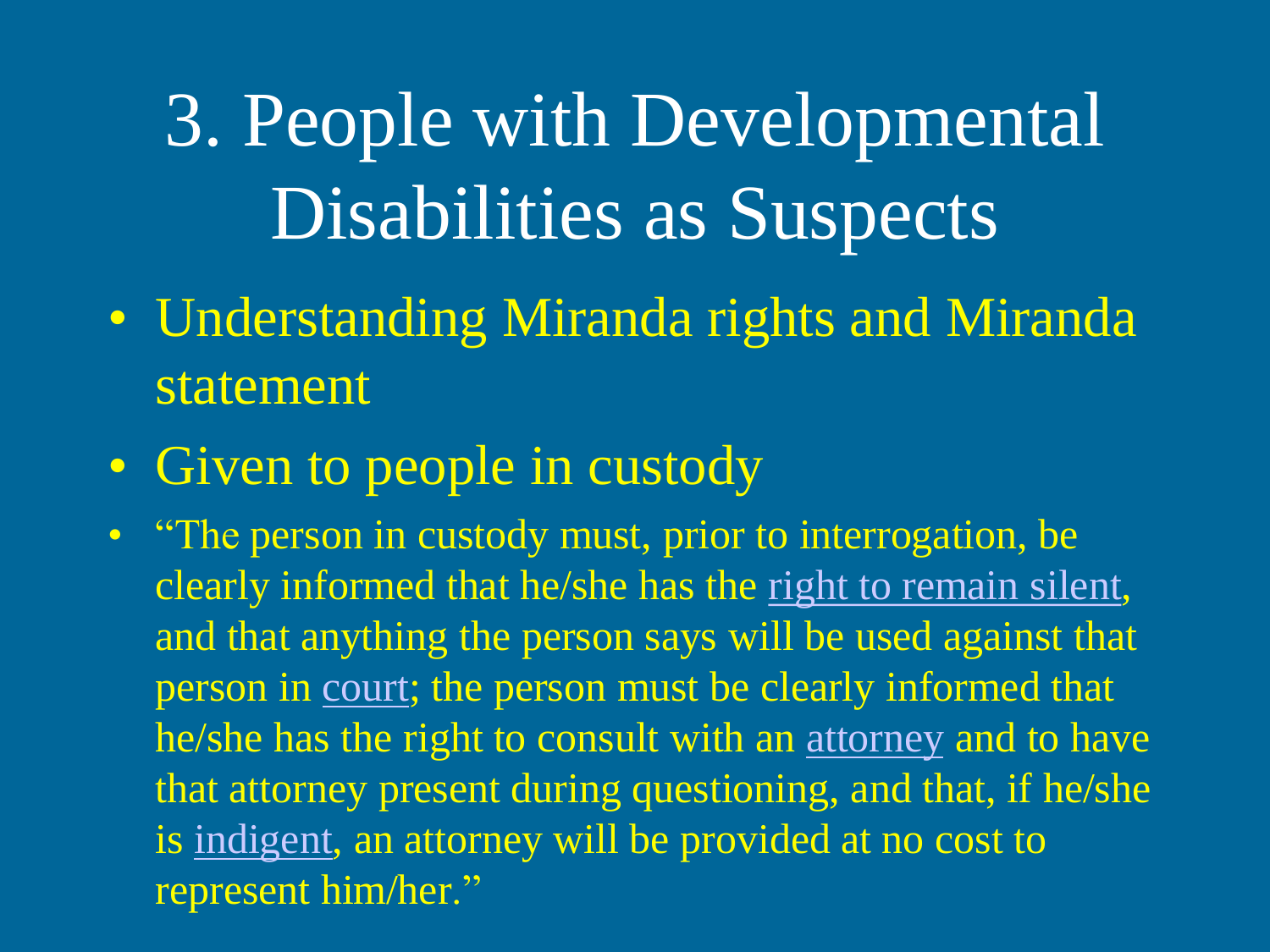3. People with Developmental Disabilities as Suspects

- Understanding Miranda rights and Miranda statement
- Given to people in custody
- "The person in custody must, prior to interrogation, be clearly informed that he/she has the [right to remain silent,](http://en.wikipedia.org/wiki/Right_to_silence) and that anything the person says will be used against that person in [court](http://en.wikipedia.org/wiki/Court); the person must be clearly informed that he/she has the right to consult with an [attorney](http://en.wikipedia.org/wiki/Lawyer) and to have that attorney present during questioning, and that, if he/she is [indigent,](http://en.wikipedia.org/wiki/Poverty) an attorney will be provided at no cost to represent him/her."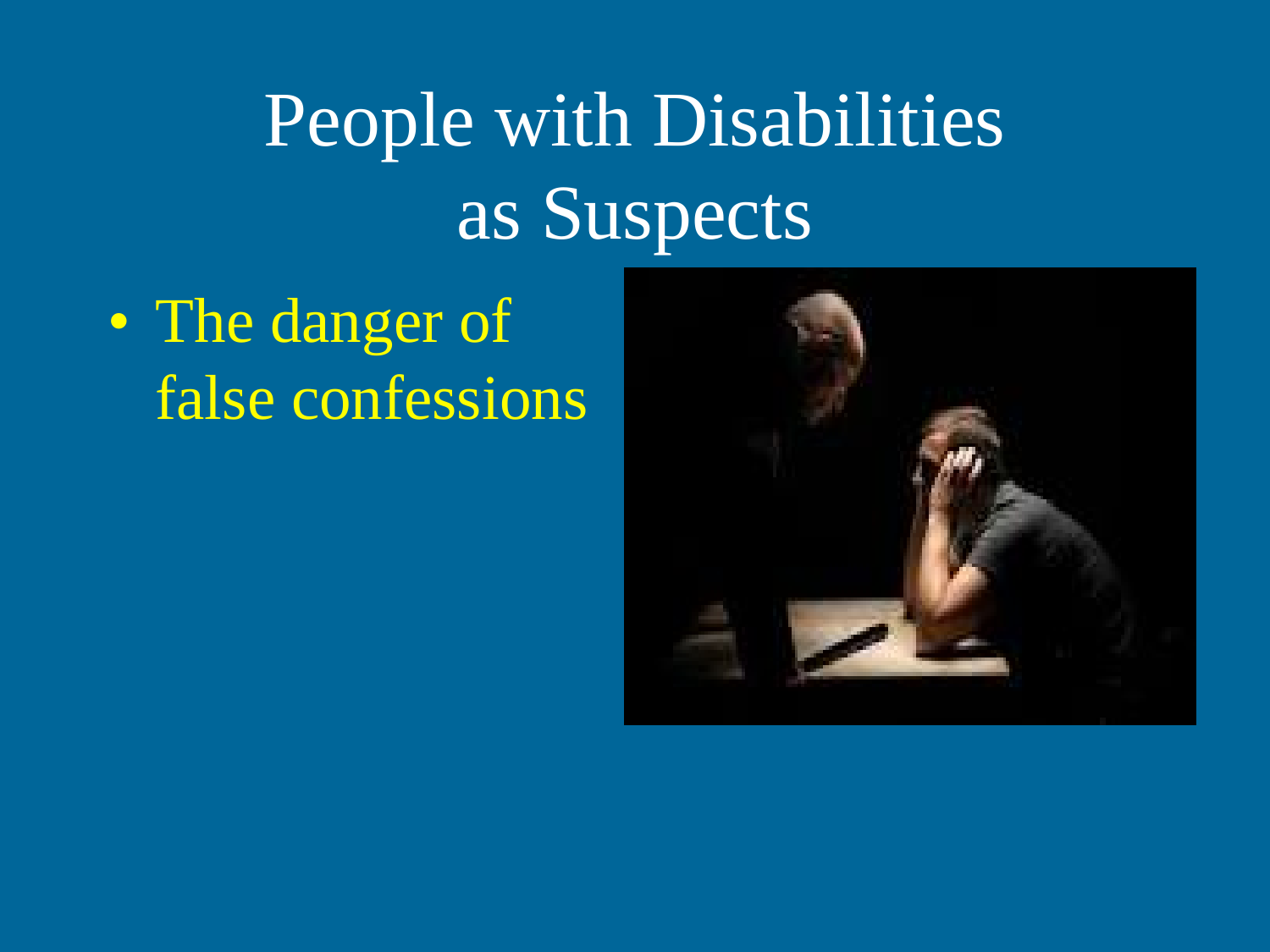# People with Disabilities as Suspects

• The danger of false confessions

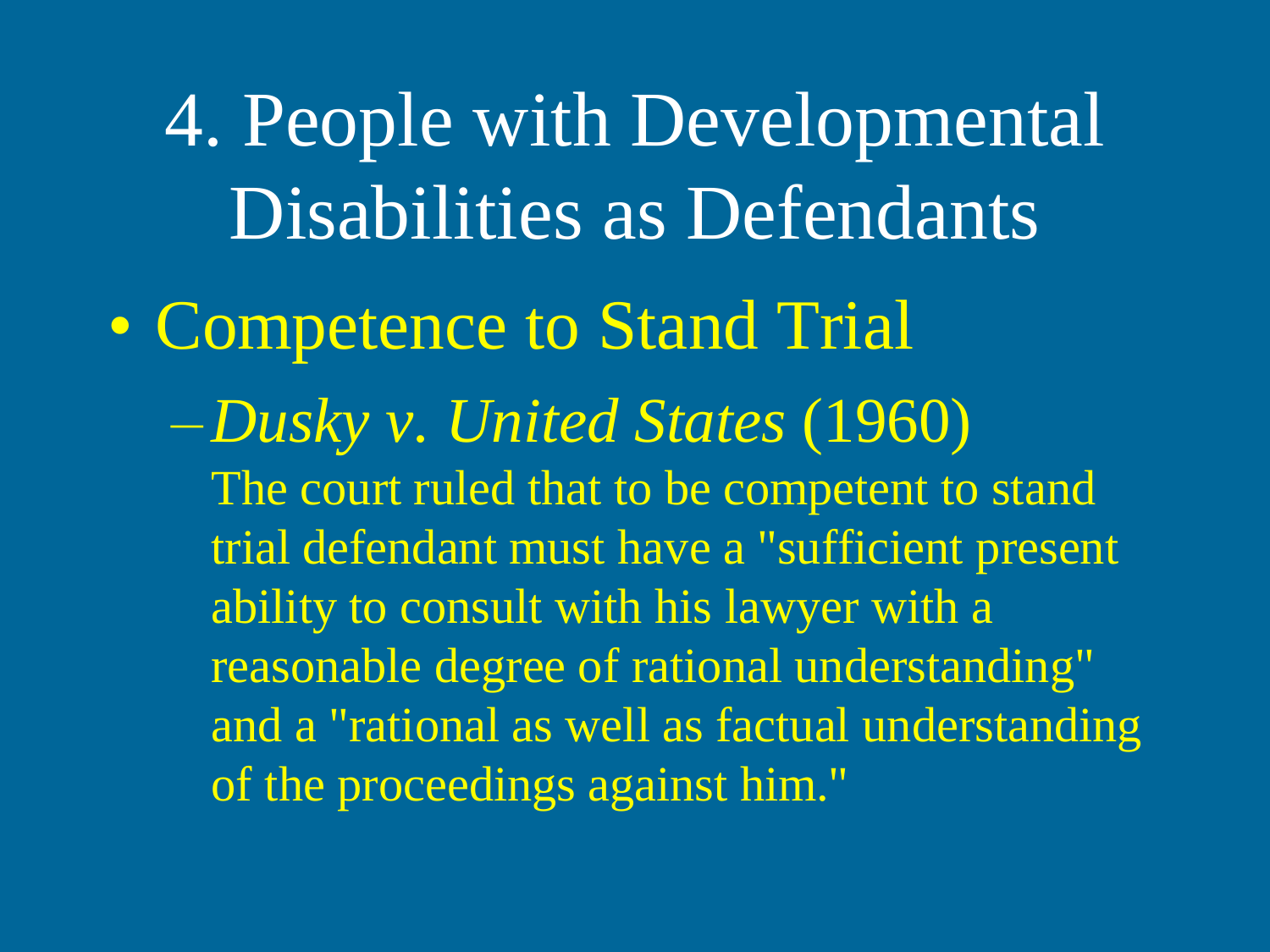4. People with Developmental Disabilities as Defendants • Competence to Stand Trial –*Dusky v. United States* (1960) The court ruled that to be competent to stand trial defendant must have a "sufficient present ability to consult with his lawyer with a reasonable degree of rational understanding" and a "rational as well as factual understanding of the proceedings against him."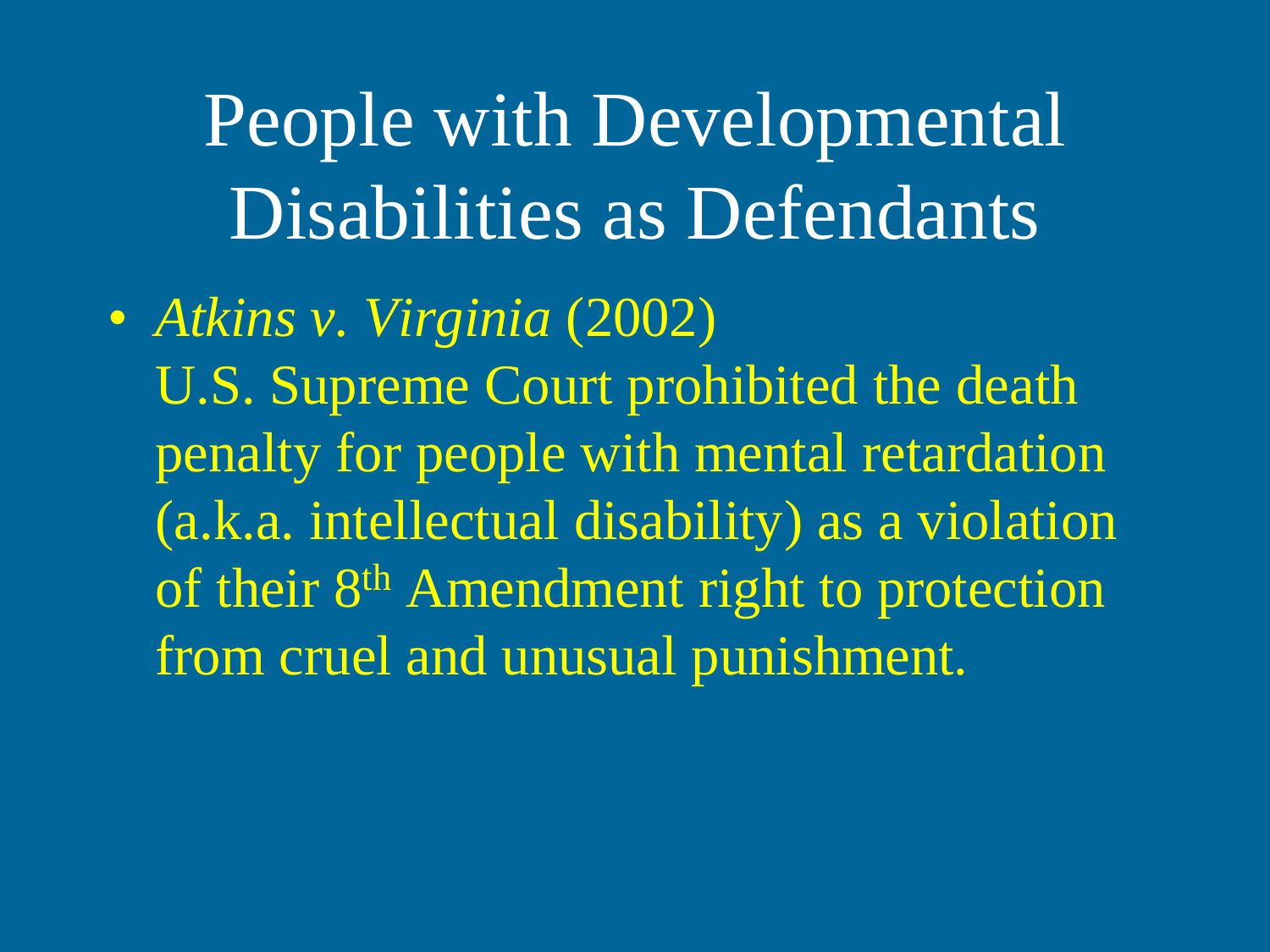People with Developmental Disabilities as Defendants

• *Atkins v. Virginia* (2002) U.S. Supreme Court prohibited the death penalty for people with mental retardation (a.k.a. intellectual disability) as a violation of their 8<sup>th</sup> Amendment right to protection from cruel and unusual punishment.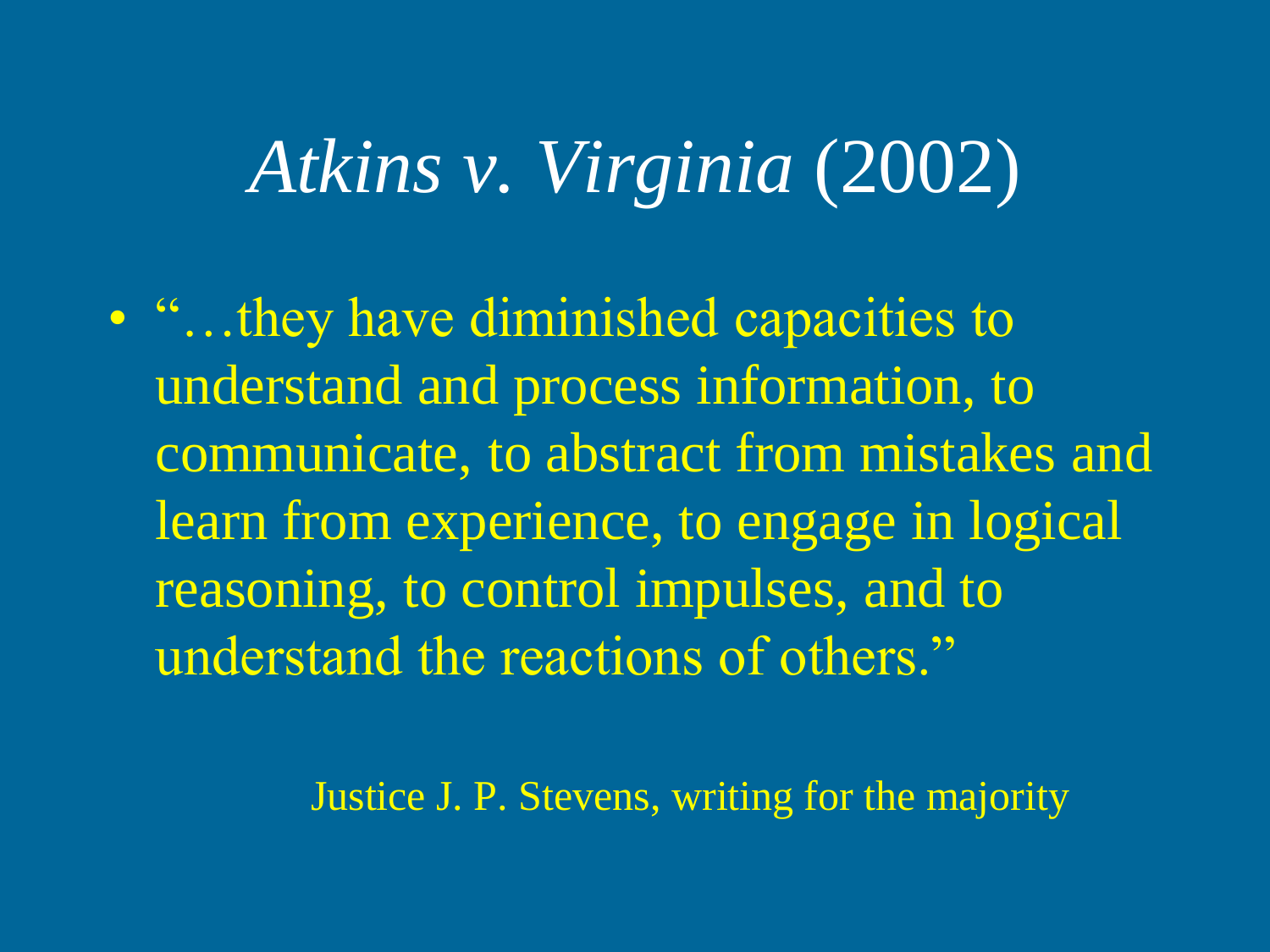# *Atkins v. Virginia* (2002)

• "…they have diminished capacities to understand and process information, to communicate, to abstract from mistakes and learn from experience, to engage in logical reasoning, to control impulses, and to understand the reactions of others."

Justice J. P. Stevens, writing for the majority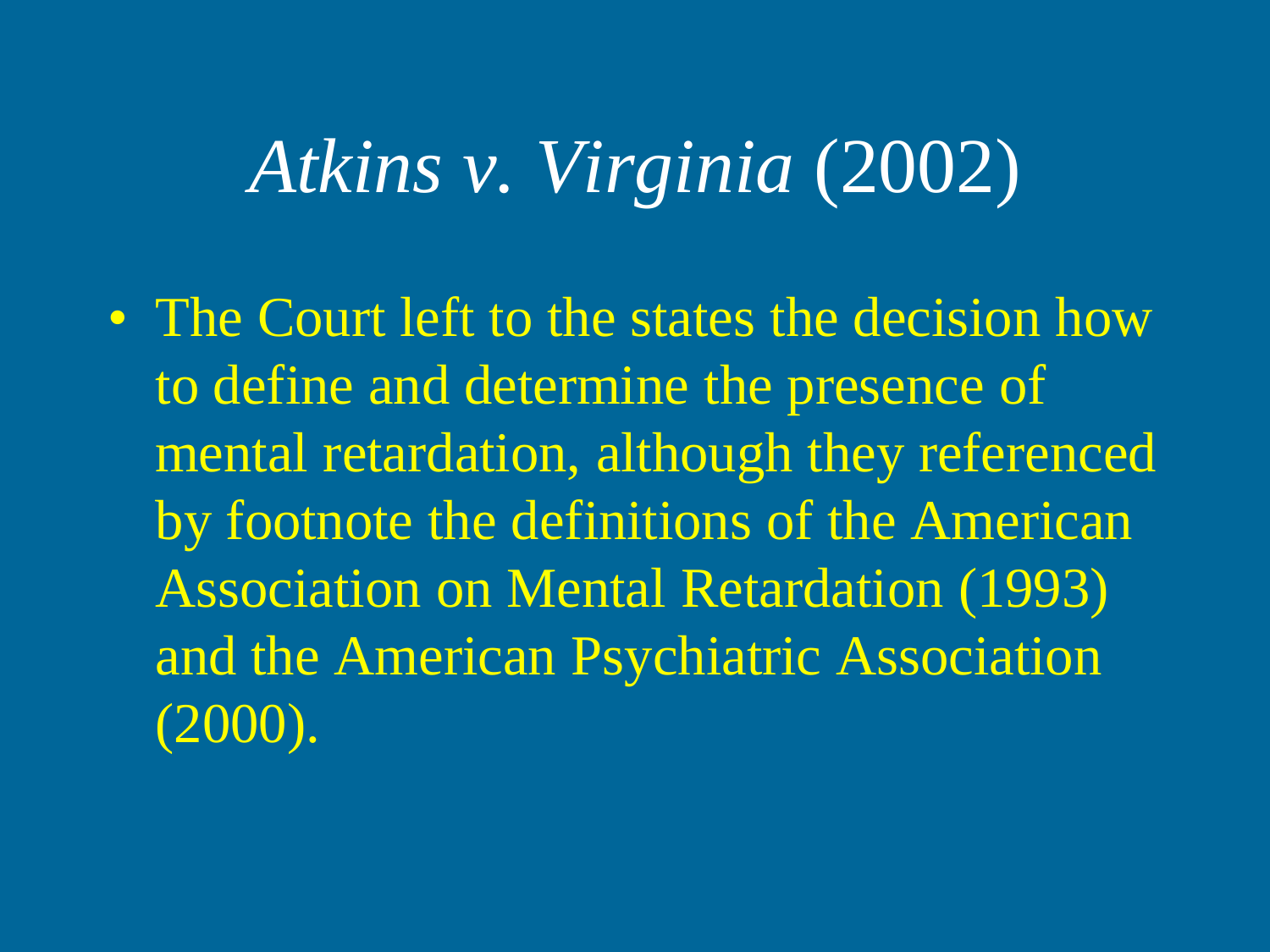# *Atkins v. Virginia* (2002)

• The Court left to the states the decision how to define and determine the presence of mental retardation, although they referenced by footnote the definitions of the American Association on Mental Retardation (1993) and the American Psychiatric Association (2000).